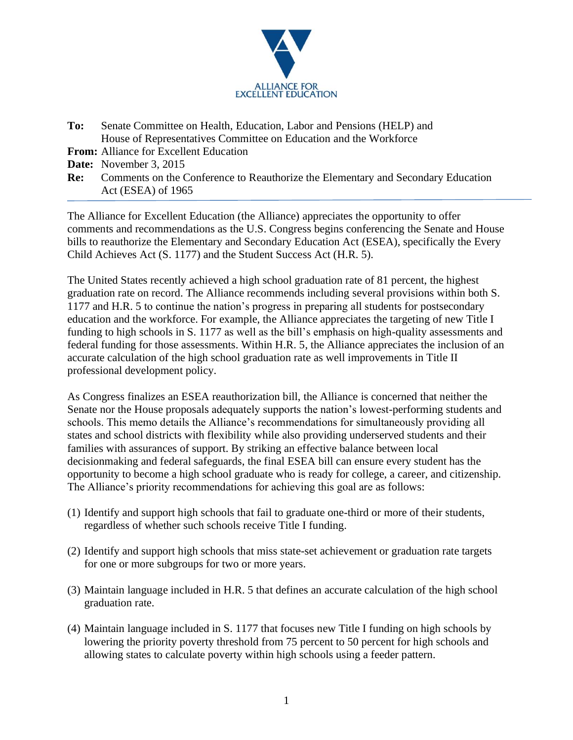

- **To:** Senate Committee on Health, Education, Labor and Pensions (HELP) and House of Representatives Committee on Education and the Workforce
- **From:** Alliance for Excellent Education

**Date:** November 3, 2015

**Re:** Comments on the Conference to Reauthorize the Elementary and Secondary Education Act (ESEA) of 1965

The Alliance for Excellent Education (the Alliance) appreciates the opportunity to offer comments and recommendations as the U.S. Congress begins conferencing the Senate and House bills to reauthorize the Elementary and Secondary Education Act (ESEA), specifically the Every Child Achieves Act (S. 1177) and the Student Success Act (H.R. 5).

The United States recently achieved a high school graduation rate of 81 percent, the highest graduation rate on record. The Alliance recommends including several provisions within both S. 1177 and H.R. 5 to continue the nation's progress in preparing all students for postsecondary education and the workforce. For example, the Alliance appreciates the targeting of new Title I funding to high schools in S. 1177 as well as the bill's emphasis on high-quality assessments and federal funding for those assessments. Within H.R. 5, the Alliance appreciates the inclusion of an accurate calculation of the high school graduation rate as well improvements in Title II professional development policy.

As Congress finalizes an ESEA reauthorization bill, the Alliance is concerned that neither the Senate nor the House proposals adequately supports the nation's lowest-performing students and schools. This memo details the Alliance's recommendations for simultaneously providing all states and school districts with flexibility while also providing underserved students and their families with assurances of support. By striking an effective balance between local decisionmaking and federal safeguards, the final ESEA bill can ensure every student has the opportunity to become a high school graduate who is ready for college, a career, and citizenship. The Alliance's priority recommendations for achieving this goal are as follows:

- (1) Identify and support high schools that fail to graduate one-third or more of their students, regardless of whether such schools receive Title I funding.
- (2) Identify and support high schools that miss state-set achievement or graduation rate targets for one or more subgroups for two or more years.
- (3) Maintain language included in H.R. 5 that defines an accurate calculation of the high school graduation rate.
- (4) Maintain language included in S. 1177 that focuses new Title I funding on high schools by lowering the priority poverty threshold from 75 percent to 50 percent for high schools and allowing states to calculate poverty within high schools using a feeder pattern.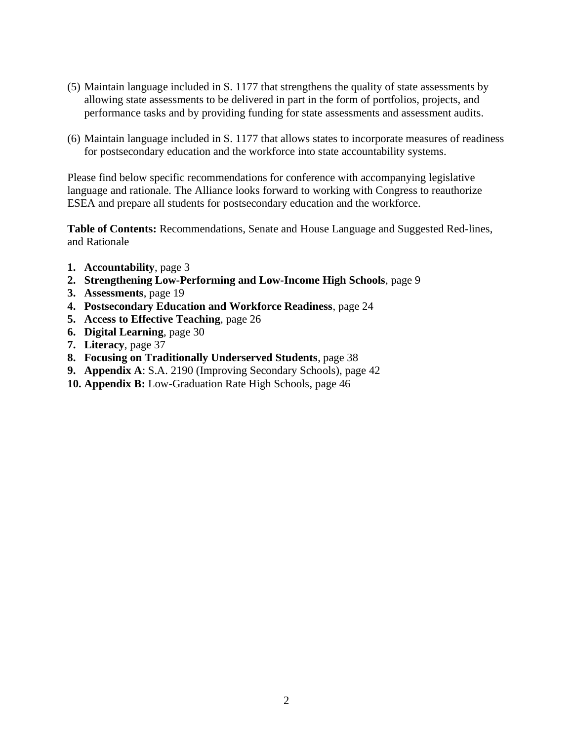- (5) Maintain language included in S. 1177 that strengthens the quality of state assessments by allowing state assessments to be delivered in part in the form of portfolios, projects, and performance tasks and by providing funding for state assessments and assessment audits.
- (6) Maintain language included in S. 1177 that allows states to incorporate measures of readiness for postsecondary education and the workforce into state accountability systems.

Please find below specific recommendations for conference with accompanying legislative language and rationale. The Alliance looks forward to working with Congress to reauthorize ESEA and prepare all students for postsecondary education and the workforce.

**Table of Contents:** Recommendations, Senate and House Language and Suggested Red-lines, and Rationale

- **1. Accountability**, page 3
- **2. Strengthening Low-Performing and Low-Income High Schools**, page 9
- **3. Assessments**, page 19
- **4. Postsecondary Education and Workforce Readiness**, page 24
- **5. Access to Effective Teaching**, page 26
- **6. Digital Learning**, page 30
- **7. Literacy**, page 37
- **8. Focusing on Traditionally Underserved Students**, page 38
- **9. Appendix A**: S.A. 2190 (Improving Secondary Schools), page 42
- **10. Appendix B:** Low-Graduation Rate High Schools, page 46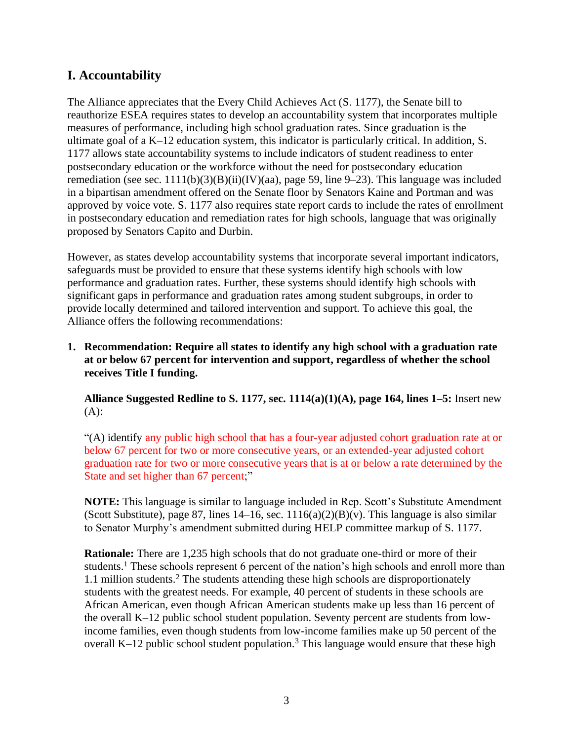## **I. Accountability**

The Alliance appreciates that the Every Child Achieves Act (S. 1177), the Senate bill to reauthorize ESEA requires states to develop an accountability system that incorporates multiple measures of performance, including high school graduation rates. Since graduation is the ultimate goal of a K–12 education system, this indicator is particularly critical. In addition, S. 1177 allows state accountability systems to include indicators of student readiness to enter postsecondary education or the workforce without the need for postsecondary education remediation (see sec.  $1111(b)(3)(B)(ii)(IV)(aa)$ , page 59, line 9–23). This language was included in a bipartisan amendment offered on the Senate floor by Senators Kaine and Portman and was approved by voice vote. S. 1177 also requires state report cards to include the rates of enrollment in postsecondary education and remediation rates for high schools, language that was originally proposed by Senators Capito and Durbin.

However, as states develop accountability systems that incorporate several important indicators, safeguards must be provided to ensure that these systems identify high schools with low performance and graduation rates. Further, these systems should identify high schools with significant gaps in performance and graduation rates among student subgroups, in order to provide locally determined and tailored intervention and support. To achieve this goal, the Alliance offers the following recommendations:

**1. Recommendation: Require all states to identify any high school with a graduation rate at or below 67 percent for intervention and support, regardless of whether the school receives Title I funding.**

**Alliance Suggested Redline to S. 1177, sec. 1114(a)(1)(A), page 164, lines 1–5:** Insert new (A):

"(A) identify any public high school that has a four-year adjusted cohort graduation rate at or below 67 percent for two or more consecutive years, or an extended-year adjusted cohort graduation rate for two or more consecutive years that is at or below a rate determined by the State and set higher than 67 percent;"

**NOTE:** This language is similar to language included in Rep. Scott's Substitute Amendment (Scott Substitute), page 87, lines  $14-16$ , sec.  $1116(a)(2)(B)(v)$ . This language is also similar to Senator Murphy's amendment submitted during HELP committee markup of S. 1177.

**Rationale:** There are 1,235 high schools that do not graduate one-third or more of their students.<sup>1</sup> These schools represent 6 percent of the nation's high schools and enroll more than 1.1 million students.<sup>2</sup> The students attending these high schools are disproportionately students with the greatest needs. For example, 40 percent of students in these schools are African American, even though African American students make up less than 16 percent of the overall K–12 public school student population. Seventy percent are students from lowincome families, even though students from low-income families make up 50 percent of the overall K–12 public school student population.<sup>3</sup> This language would ensure that these high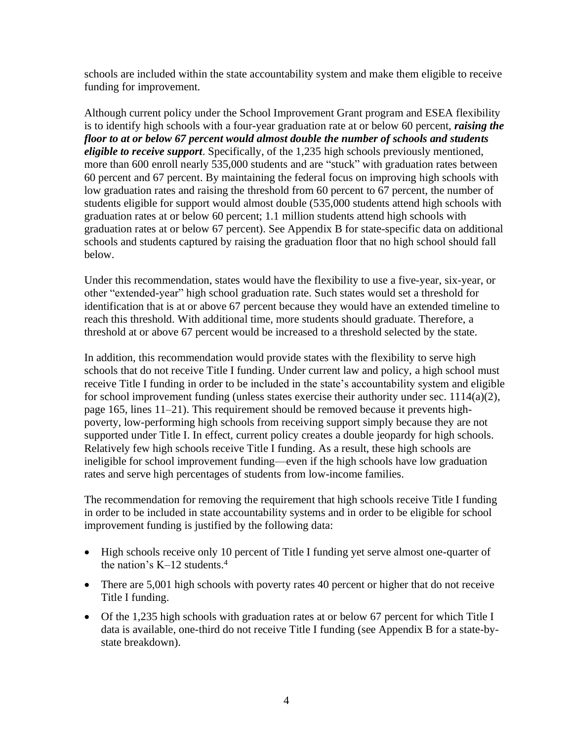schools are included within the state accountability system and make them eligible to receive funding for improvement.

Although current policy under the School Improvement Grant program and ESEA flexibility is to identify high schools with a four-year graduation rate at or below 60 percent, *raising the floor to at or below 67 percent would almost double the number of schools and students eligible to receive support*. Specifically, of the 1,235 high schools previously mentioned, more than 600 enroll nearly 535,000 students and are "stuck" with graduation rates between 60 percent and 67 percent. By maintaining the federal focus on improving high schools with low graduation rates and raising the threshold from 60 percent to 67 percent, the number of students eligible for support would almost double (535,000 students attend high schools with graduation rates at or below 60 percent; 1.1 million students attend high schools with graduation rates at or below 67 percent). See Appendix B for state-specific data on additional schools and students captured by raising the graduation floor that no high school should fall below.

Under this recommendation, states would have the flexibility to use a five-year, six-year, or other "extended-year" high school graduation rate. Such states would set a threshold for identification that is at or above 67 percent because they would have an extended timeline to reach this threshold. With additional time, more students should graduate. Therefore, a threshold at or above 67 percent would be increased to a threshold selected by the state.

In addition, this recommendation would provide states with the flexibility to serve high schools that do not receive Title I funding. Under current law and policy, a high school must receive Title I funding in order to be included in the state's accountability system and eligible for school improvement funding (unless states exercise their authority under sec. 1114(a)(2), page 165, lines 11–21). This requirement should be removed because it prevents highpoverty, low-performing high schools from receiving support simply because they are not supported under Title I. In effect, current policy creates a double jeopardy for high schools. Relatively few high schools receive Title I funding. As a result, these high schools are ineligible for school improvement funding—even if the high schools have low graduation rates and serve high percentages of students from low-income families.

The recommendation for removing the requirement that high schools receive Title I funding in order to be included in state accountability systems and in order to be eligible for school improvement funding is justified by the following data:

- High schools receive only 10 percent of Title I funding yet serve almost one-quarter of the nation's  $K-12$  students.<sup>4</sup>
- There are 5,001 high schools with poverty rates 40 percent or higher that do not receive Title I funding.
- Of the 1,235 high schools with graduation rates at or below 67 percent for which Title I data is available, one-third do not receive Title I funding (see Appendix B for a state-bystate breakdown).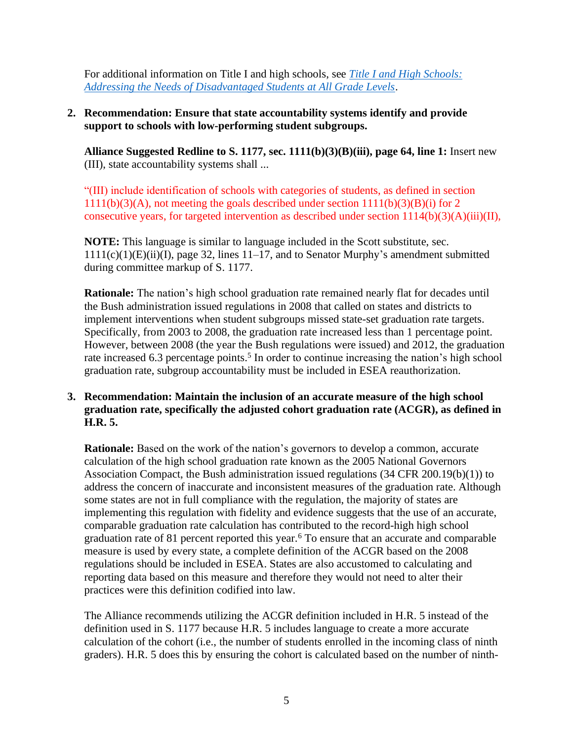For additional information on Title I and high schools, see *[Title I and High Schools:](http://all4ed.org/reports-factsheets/title-i-and-high-schools-addressing-the-needs-of-disadvantaged-students-at-all-grade-levels/)  [Addressing the Needs of Disadvantaged Students at All Grade Levels](http://all4ed.org/reports-factsheets/title-i-and-high-schools-addressing-the-needs-of-disadvantaged-students-at-all-grade-levels/)*.

### **2. Recommendation: Ensure that state accountability systems identify and provide support to schools with low-performing student subgroups.**

**Alliance Suggested Redline to S. 1177, sec. 1111(b)(3)(B)(iii), page 64, line 1:** Insert new (III), state accountability systems shall ...

"(III) include identification of schools with categories of students, as defined in section  $1111(b)(3)(A)$ , not meeting the goals described under section  $1111(b)(3)(B)(i)$  for 2 consecutive years, for targeted intervention as described under section  $1114(b)(3)(A)(iii)(II)$ ,

**NOTE:** This language is similar to language included in the Scott substitute, sec.  $1111(c)(1)(E)(ii)(I)$ , page 32, lines  $11-17$ , and to Senator Murphy's amendment submitted during committee markup of S. 1177.

**Rationale:** The nation's high school graduation rate remained nearly flat for decades until the Bush administration issued regulations in 2008 that called on states and districts to implement interventions when student subgroups missed state-set graduation rate targets. Specifically, from 2003 to 2008, the graduation rate increased less than 1 percentage point. However, between 2008 (the year the Bush regulations were issued) and 2012, the graduation rate increased 6.3 percentage points.<sup>5</sup> In order to continue increasing the nation's high school graduation rate, subgroup accountability must be included in ESEA reauthorization.

### **3. Recommendation: Maintain the inclusion of an accurate measure of the high school graduation rate, specifically the adjusted cohort graduation rate (ACGR), as defined in H.R. 5.**

**Rationale:** Based on the work of the nation's governors to develop a common, accurate calculation of the high school graduation rate known as the 2005 National Governors Association Compact, the Bush administration issued regulations (34 CFR 200.19(b)(1)) to address the concern of inaccurate and inconsistent measures of the graduation rate. Although some states are not in full compliance with the regulation, the majority of states are implementing this regulation with fidelity and evidence suggests that the use of an accurate, comparable graduation rate calculation has contributed to the record-high high school graduation rate of 81 percent reported this year.<sup>6</sup> To ensure that an accurate and comparable measure is used by every state, a complete definition of the ACGR based on the 2008 regulations should be included in ESEA. States are also accustomed to calculating and reporting data based on this measure and therefore they would not need to alter their practices were this definition codified into law.

The Alliance recommends utilizing the ACGR definition included in H.R. 5 instead of the definition used in S. 1177 because H.R. 5 includes language to create a more accurate calculation of the cohort (i.e., the number of students enrolled in the incoming class of ninth graders). H.R. 5 does this by ensuring the cohort is calculated based on the number of ninth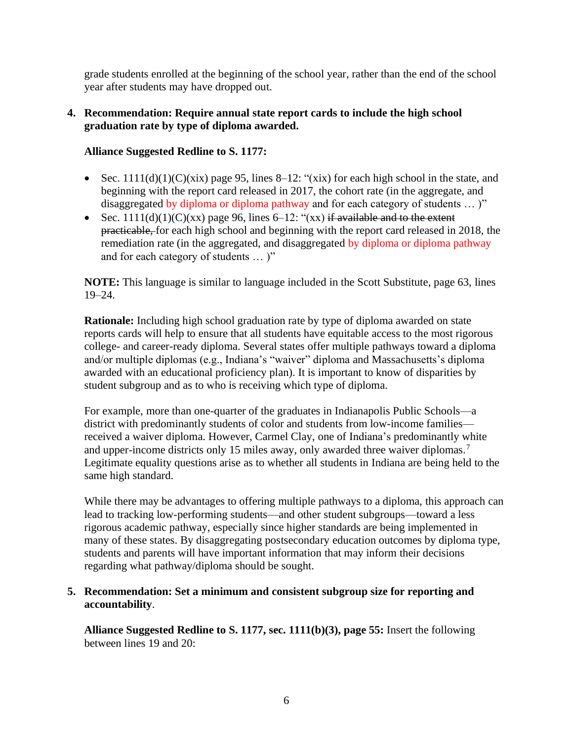grade students enrolled at the beginning of the school year, rather than the end of the school year after students may have dropped out.

#### **4. Recommendation: Require annual state report cards to include the high school graduation rate by type of diploma awarded.**

### **Alliance Suggested Redline to S. 1177:**

- Sec.  $1111(d)(1)(C)(xix)$  page 95, lines 8–12: "(xix) for each high school in the state, and beginning with the report card released in 2017, the cohort rate (in the aggregate, and disaggregated by diploma or diploma pathway and for each category of students ... )"
- Sec.  $1111(d)(1)(C)(xx)$  page 96, lines 6–12: " $(xx)$  if available and to the extent practicable, for each high school and beginning with the report card released in 2018, the remediation rate (in the aggregated, and disaggregated by diploma or diploma pathway and for each category of students … )"

**NOTE:** This language is similar to language included in the Scott Substitute, page 63, lines 19–24.

**Rationale:** Including high school graduation rate by type of diploma awarded on state reports cards will help to ensure that all students have equitable access to the most rigorous college- and career-ready diploma. Several states offer multiple pathways toward a diploma and/or multiple diplomas (e.g., Indiana's "waiver" diploma and Massachusetts's diploma awarded with an educational proficiency plan). It is important to know of disparities by student subgroup and as to who is receiving which type of diploma.

For example, more than one-quarter of the graduates in Indianapolis Public Schools—a district with predominantly students of color and students from low-income families received a waiver diploma. However, Carmel Clay, one of Indiana's predominantly white and upper-income districts only 15 miles away, only awarded three waiver diplomas.<sup>7</sup> Legitimate equality questions arise as to whether all students in Indiana are being held to the same high standard.

While there may be advantages to offering multiple pathways to a diploma, this approach can lead to tracking low-performing students—and other student subgroups—toward a less rigorous academic pathway, especially since higher standards are being implemented in many of these states. By disaggregating postsecondary education outcomes by diploma type, students and parents will have important information that may inform their decisions regarding what pathway/diploma should be sought.

#### **5. Recommendation: Set a minimum and consistent subgroup size for reporting and accountability**.

**Alliance Suggested Redline to S. 1177, sec. 1111(b)(3), page 55:** Insert the following between lines 19 and 20: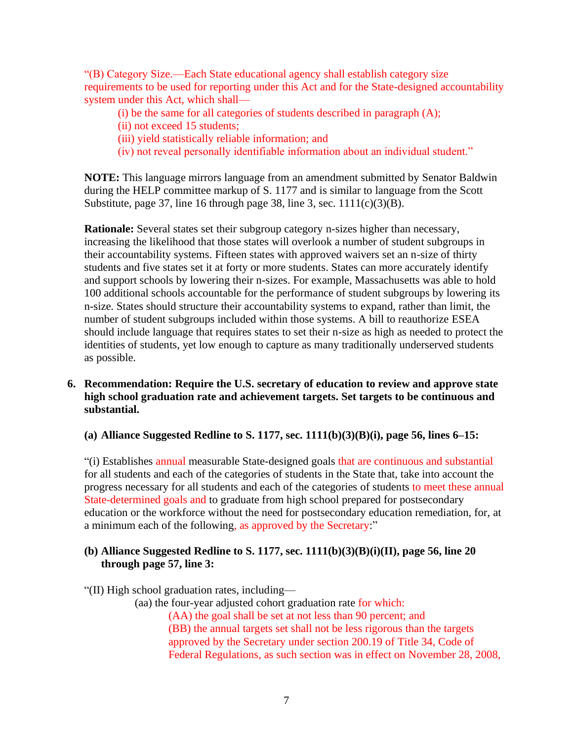"(B) Category Size.—Each State educational agency shall establish category size requirements to be used for reporting under this Act and for the State-designed accountability system under this Act, which shall—

- (i) be the same for all categories of students described in paragraph  $(A)$ ;
- (ii) not exceed 15 students;
- (iii) yield statistically reliable information; and
- (iv) not reveal personally identifiable information about an individual student."

**NOTE:** This language mirrors language from an amendment submitted by Senator Baldwin during the HELP committee markup of S. 1177 and is similar to language from the Scott Substitute, page 37, line 16 through page 38, line 3, sec.  $1111(c)(3)(B)$ .

**Rationale:** Several states set their subgroup category n-sizes higher than necessary, increasing the likelihood that those states will overlook a number of student subgroups in their accountability systems. Fifteen states with approved waivers set an n-size of thirty students and five states set it at forty or more students. States can more accurately identify and support schools by lowering their n-sizes. For example, Massachusetts was able to hold 100 additional schools accountable for the performance of student subgroups by lowering its n-size. States should structure their accountability systems to expand, rather than limit, the number of student subgroups included within those systems. A bill to reauthorize ESEA should include language that requires states to set their n-size as high as needed to protect the identities of students, yet low enough to capture as many traditionally underserved students as possible.

**6. Recommendation: Require the U.S. secretary of education to review and approve state high school graduation rate and achievement targets. Set targets to be continuous and substantial.**

**(a) Alliance Suggested Redline to S. 1177, sec. 1111(b)(3)(B)(i), page 56, lines 6–15:**

"(i) Establishes annual measurable State-designed goals that are continuous and substantial for all students and each of the categories of students in the State that, take into account the progress necessary for all students and each of the categories of students to meet these annual State-determined goals and to graduate from high school prepared for postsecondary education or the workforce without the need for postsecondary education remediation, for, at a minimum each of the following, as approved by the Secretary:"

#### **(b) Alliance Suggested Redline to S. 1177, sec. 1111(b)(3)(B)(i)(II), page 56, line 20 through page 57, line 3:**

"(II) High school graduation rates, including—

(aa) the four-year adjusted cohort graduation rate for which: (AA) the goal shall be set at not less than 90 percent; and (BB) the annual targets set shall not be less rigorous than the targets approved by the Secretary under section 200.19 of Title 34, Code of Federal Regulations, as such section was in effect on November 28, 2008,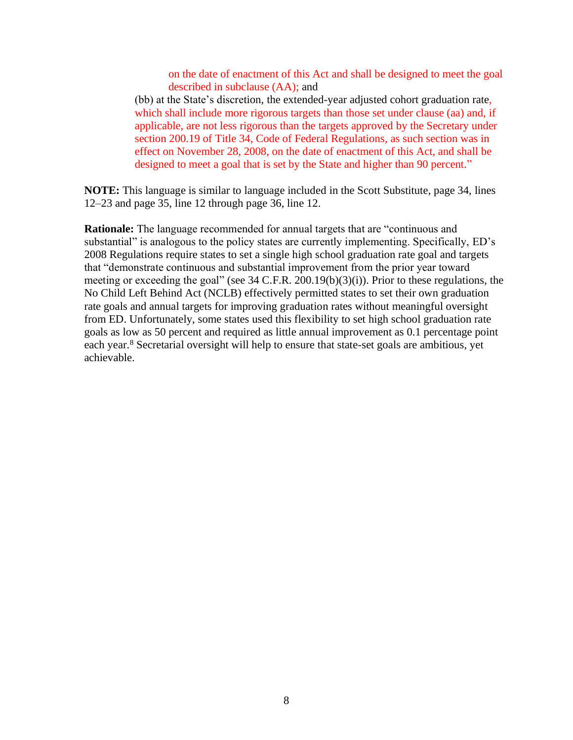on the date of enactment of this Act and shall be designed to meet the goal described in subclause (AA); and

(bb) at the State's discretion, the extended-year adjusted cohort graduation rate, which shall include more rigorous targets than those set under clause (aa) and, if applicable, are not less rigorous than the targets approved by the Secretary under section 200.19 of Title 34, Code of Federal Regulations, as such section was in effect on November 28, 2008, on the date of enactment of this Act, and shall be designed to meet a goal that is set by the State and higher than 90 percent."

**NOTE:** This language is similar to language included in the Scott Substitute, page 34, lines 12–23 and page 35, line 12 through page 36, line 12.

**Rationale:** The language recommended for annual targets that are "continuous and substantial" is analogous to the policy states are currently implementing. Specifically, ED's 2008 Regulations require states to set a single high school graduation rate goal and targets that "demonstrate continuous and substantial improvement from the prior year toward meeting or exceeding the goal" (see 34 C.F.R. 200.19(b)(3)(i)). Prior to these regulations, the No Child Left Behind Act (NCLB) effectively permitted states to set their own graduation rate goals and annual targets for improving graduation rates without meaningful oversight from ED. Unfortunately, some states used this flexibility to set high school graduation rate goals as low as 50 percent and required as little annual improvement as 0.1 percentage point each year.<sup>8</sup> Secretarial oversight will help to ensure that state-set goals are ambitious, yet achievable.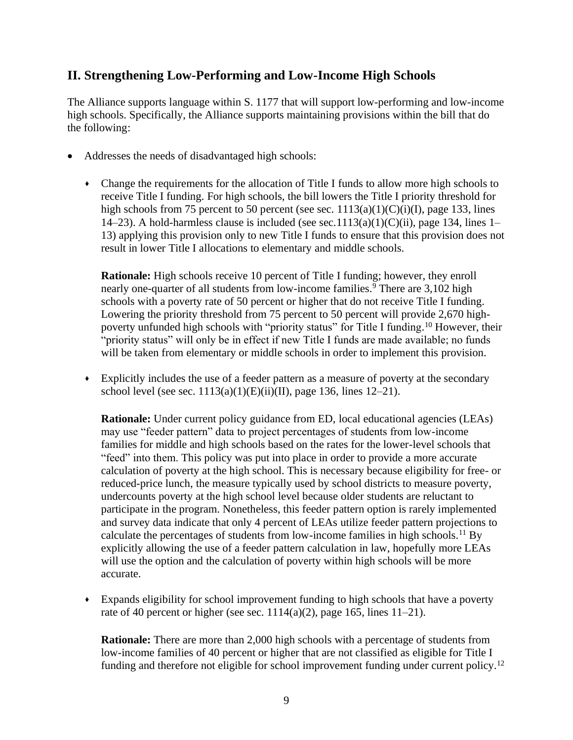## **II. Strengthening Low-Performing and Low-Income High Schools**

The Alliance supports language within S. 1177 that will support low-performing and low-income high schools. Specifically, the Alliance supports maintaining provisions within the bill that do the following:

- Addresses the needs of disadvantaged high schools:
	- Change the requirements for the allocation of Title I funds to allow more high schools to receive Title I funding. For high schools, the bill lowers the Title I priority threshold for high schools from 75 percent to 50 percent (see sec.  $1113(a)(1)(C)(i)(I)$ , page 133, lines 14–23). A hold-harmless clause is included (see sec.1113(a)(1)(C)(ii), page 134, lines 1– 13) applying this provision only to new Title I funds to ensure that this provision does not result in lower Title I allocations to elementary and middle schools.

**Rationale:** High schools receive 10 percent of Title I funding; however, they enroll nearly one-quarter of all students from low-income families.<sup>9</sup> There are 3,102 high schools with a poverty rate of 50 percent or higher that do not receive Title I funding. Lowering the priority threshold from 75 percent to 50 percent will provide 2,670 highpoverty unfunded high schools with "priority status" for Title I funding.<sup>10</sup> However, their "priority status" will only be in effect if new Title I funds are made available; no funds will be taken from elementary or middle schools in order to implement this provision.

Explicitly includes the use of a feeder pattern as a measure of poverty at the secondary school level (see sec.  $1113(a)(1)(E)(ii)(II)$ , page 136, lines 12–21).

**Rationale:** Under current policy guidance from ED, local educational agencies (LEAs) may use "feeder pattern" data to project percentages of students from low-income families for middle and high schools based on the rates for the lower-level schools that "feed" into them. This policy was put into place in order to provide a more accurate calculation of poverty at the high school. This is necessary because eligibility for free- or reduced-price lunch, the measure typically used by school districts to measure poverty, undercounts poverty at the high school level because older students are reluctant to participate in the program. Nonetheless, this feeder pattern option is rarely implemented and survey data indicate that only 4 percent of LEAs utilize feeder pattern projections to calculate the percentages of students from low-income families in high schools. <sup>11</sup> By explicitly allowing the use of a feeder pattern calculation in law, hopefully more LEAs will use the option and the calculation of poverty within high schools will be more accurate.

Expands eligibility for school improvement funding to high schools that have a poverty rate of 40 percent or higher (see sec.  $1114(a)(2)$ , page 165, lines 11–21).

**Rationale:** There are more than 2,000 high schools with a percentage of students from low-income families of 40 percent or higher that are not classified as eligible for Title I funding and therefore not eligible for school improvement funding under current policy.<sup>12</sup>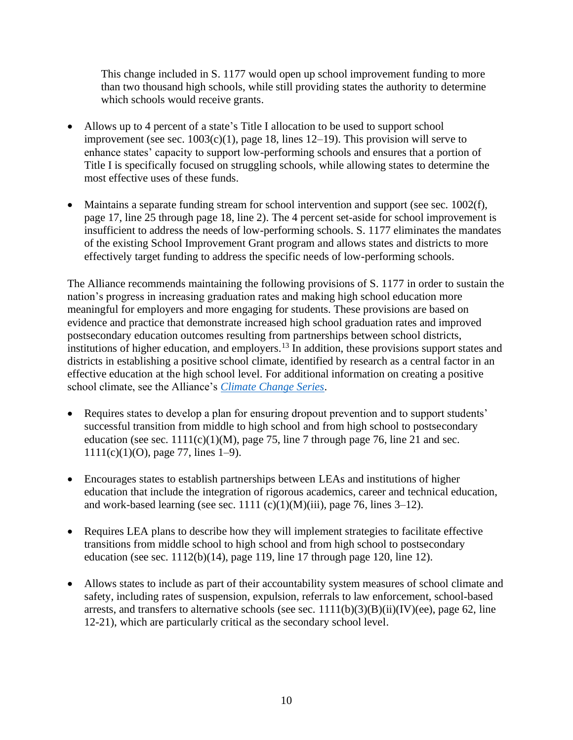This change included in S. 1177 would open up school improvement funding to more than two thousand high schools, while still providing states the authority to determine which schools would receive grants.

- Allows up to 4 percent of a state's Title I allocation to be used to support school improvement (see sec.  $1003(c)(1)$ , page 18, lines 12–19). This provision will serve to enhance states' capacity to support low-performing schools and ensures that a portion of Title I is specifically focused on struggling schools, while allowing states to determine the most effective uses of these funds.
- Maintains a separate funding stream for school intervention and support (see sec. 1002(f), page 17, line 25 through page 18, line 2). The 4 percent set-aside for school improvement is insufficient to address the needs of low-performing schools. S. 1177 eliminates the mandates of the existing School Improvement Grant program and allows states and districts to more effectively target funding to address the specific needs of low-performing schools.

The Alliance recommends maintaining the following provisions of S. 1177 in order to sustain the nation's progress in increasing graduation rates and making high school education more meaningful for employers and more engaging for students. These provisions are based on evidence and practice that demonstrate increased high school graduation rates and improved postsecondary education outcomes resulting from partnerships between school districts, institutions of higher education, and employers.<sup>13</sup> In addition, these provisions support states and districts in establishing a positive school climate, identified by research as a central factor in an effective education at the high school level. For additional information on creating a positive school climate, see the Alliance's *[Climate Change Series](http://all4ed.org/?s=Climate%2BChange&search_scope=site&submit=Go&post_type%5Breports-factsheets%5D=false&post_type%5Bpost%5D=false&post_type%5Bnewsletters%5D=false&post_type%5Bwebinar%5D=false&state-select=&show_only=reports)*.

- Requires states to develop a plan for ensuring dropout prevention and to support students' successful transition from middle to high school and from high school to postsecondary education (see sec.  $1111(c)(1)(M)$ , page 75, line 7 through page 76, line 21 and sec. 1111(c)(1)(O), page 77, lines 1–9).
- Encourages states to establish partnerships between LEAs and institutions of higher education that include the integration of rigorous academics, career and technical education, and work-based learning (see sec. 1111 (c)(1)(M)(iii), page 76, lines  $3-12$ ).
- Requires LEA plans to describe how they will implement strategies to facilitate effective transitions from middle school to high school and from high school to postsecondary education (see sec.  $1112(b)(14)$ , page 119, line 17 through page 120, line 12).
- Allows states to include as part of their accountability system measures of school climate and safety, including rates of suspension, expulsion, referrals to law enforcement, school-based arrests, and transfers to alternative schools (see sec.  $1111(b)(3)(B)(ii)(IV)(ee)$ , page 62, line 12-21), which are particularly critical as the secondary school level.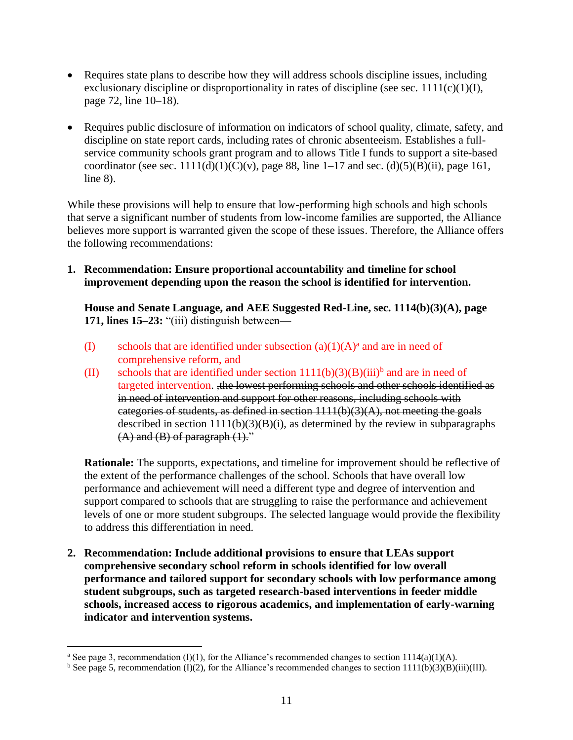- Requires state plans to describe how they will address schools discipline issues, including exclusionary discipline or disproportionality in rates of discipline (see sec.  $1111(c)(1)(I)$ , page 72, line 10–18).
- Requires public disclosure of information on indicators of school quality, climate, safety, and discipline on state report cards, including rates of chronic absenteeism. Establishes a fullservice community schools grant program and to allows Title I funds to support a site-based coordinator (see sec.  $1111(d)(1)(C)(v)$ , page 88, line 1–17 and sec.  $(d)(5)(B)(ii)$ , page 161, line 8).

While these provisions will help to ensure that low-performing high schools and high schools that serve a significant number of students from low-income families are supported, the Alliance believes more support is warranted given the scope of these issues. Therefore, the Alliance offers the following recommendations:

**1. Recommendation: Ensure proportional accountability and timeline for school improvement depending upon the reason the school is identified for intervention.** 

**House and Senate Language, and AEE Suggested Red-Line, sec. 1114(b)(3)(A), page 171, lines 15–23:** "(iii) distinguish between—

- (I) schools that are identified under subsection  $(a)(1)(A)$ <sup>a</sup> and are in need of comprehensive reform, and
- (II) schools that are identified under section  $1111(b)(3)(B)(iii)^{b}$  and are in need of targeted intervention. ,the lowest performing schools and other schools identified as in need of intervention and support for other reasons, including schools with categories of students, as defined in section  $1111(b)(3)(A)$ , not meeting the goals described in section 1111(b)(3)(B)(i), as determined by the review in subparagraphs  $(A)$  and  $(B)$  of paragraph  $(1)$ ."

**Rationale:** The supports, expectations, and timeline for improvement should be reflective of the extent of the performance challenges of the school. Schools that have overall low performance and achievement will need a different type and degree of intervention and support compared to schools that are struggling to raise the performance and achievement levels of one or more student subgroups. The selected language would provide the flexibility to address this differentiation in need.

**2. Recommendation: Include additional provisions to ensure that LEAs support comprehensive secondary school reform in schools identified for low overall performance and tailored support for secondary schools with low performance among student subgroups, such as targeted research-based interventions in feeder middle schools, increased access to rigorous academics, and implementation of early-warning indicator and intervention systems.**

<sup>&</sup>lt;sup>a</sup> See page 3, recommendation (I)(1), for the Alliance's recommended changes to section 1114(a)(1)(A).

<sup>&</sup>lt;sup>b</sup> See page 5, recommendation (I)(2), for the Alliance's recommended changes to section  $1111(b)(3)(B)(iii)(III)$ .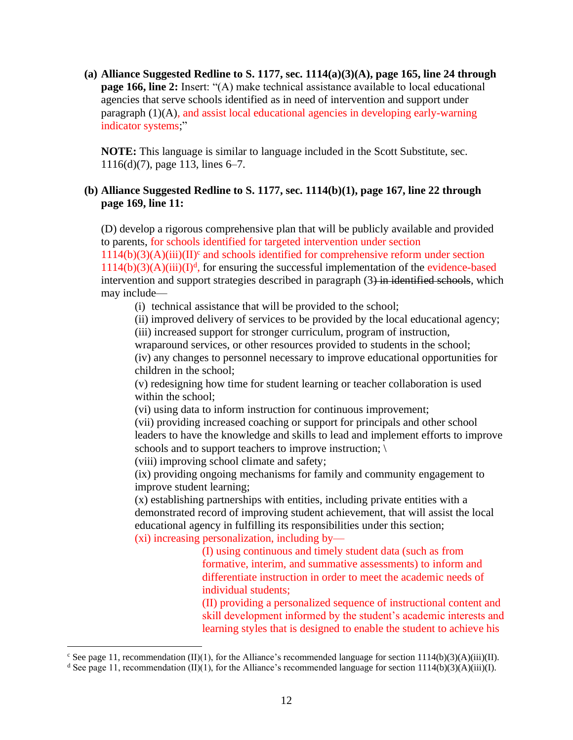**(a) Alliance Suggested Redline to S. 1177, sec. 1114(a)(3)(A), page 165, line 24 through page 166, line 2:** Insert: "(A) make technical assistance available to local educational agencies that serve schools identified as in need of intervention and support under paragraph (1)(A), and assist local educational agencies in developing early-warning indicator systems;"

**NOTE:** This language is similar to language included in the Scott Substitute, sec. 1116(d)(7), page 113, lines 6–7.

#### **(b) Alliance Suggested Redline to S. 1177, sec. 1114(b)(1), page 167, line 22 through page 169, line 11:**

(D) develop a rigorous comprehensive plan that will be publicly available and provided to parents, for schools identified for targeted intervention under section

 $1114(b)(3)(A)(iii)(II)<sup>c</sup>$  and schools identified for comprehensive reform under section  $1114(b)(3)(A)(iii)(I)<sup>d</sup>$ , for ensuring the successful implementation of the evidence-based intervention and support strategies described in paragraph (3) in identified schools, which may include—

(i) technical assistance that will be provided to the school;

(ii) improved delivery of services to be provided by the local educational agency;

(iii) increased support for stronger curriculum, program of instruction,

wraparound services, or other resources provided to students in the school; (iv) any changes to personnel necessary to improve educational opportunities for

children in the school;

(v) redesigning how time for student learning or teacher collaboration is used within the school;

(vi) using data to inform instruction for continuous improvement;

(vii) providing increased coaching or support for principals and other school leaders to have the knowledge and skills to lead and implement efforts to improve schools and to support teachers to improve instruction;  $\langle \rangle$ 

(viii) improving school climate and safety;

(ix) providing ongoing mechanisms for family and community engagement to improve student learning;

(x) establishing partnerships with entities, including private entities with a demonstrated record of improving student achievement, that will assist the local educational agency in fulfilling its responsibilities under this section;

(xi) increasing personalization, including by—

(I) using continuous and timely student data (such as from formative, interim, and summative assessments) to inform and differentiate instruction in order to meet the academic needs of individual students;

(II) providing a personalized sequence of instructional content and skill development informed by the student's academic interests and learning styles that is designed to enable the student to achieve his

<sup>&</sup>lt;sup>c</sup> See page 11, recommendation (II)(1), for the Alliance's recommended language for section 1114(b)(3)(A)(iii)(II).

<sup>&</sup>lt;sup>d</sup> See page 11, recommendation (II)(1), for the Alliance's recommended language for section 1114(b)(3)(A)(iii)(I).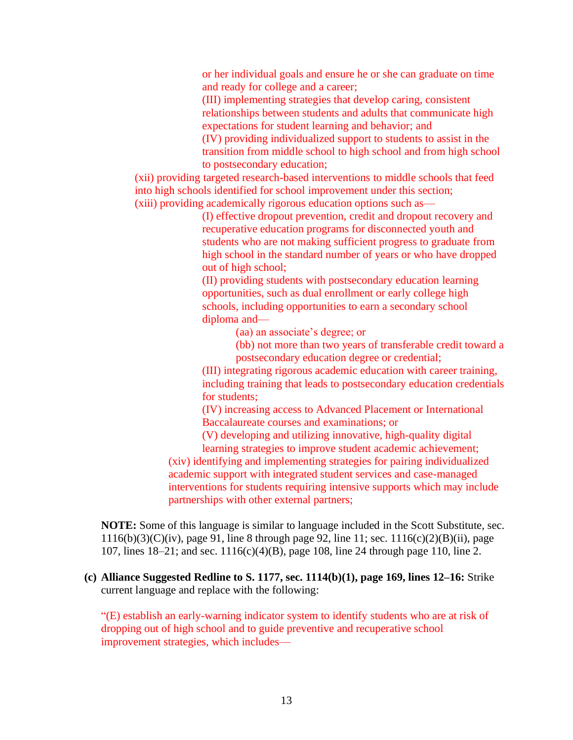or her individual goals and ensure he or she can graduate on time and ready for college and a career;

(III) implementing strategies that develop caring, consistent relationships between students and adults that communicate high expectations for student learning and behavior; and

(IV) providing individualized support to students to assist in the transition from middle school to high school and from high school to postsecondary education;

(xii) providing targeted research-based interventions to middle schools that feed into high schools identified for school improvement under this section; (xiii) providing academically rigorous education options such as—

> (I) effective dropout prevention, credit and dropout recovery and recuperative education programs for disconnected youth and students who are not making sufficient progress to graduate from high school in the standard number of years or who have dropped out of high school;

(II) providing students with postsecondary education learning opportunities, such as dual enrollment or early college high schools, including opportunities to earn a secondary school diploma and—

(aa) an associate's degree; or

(bb) not more than two years of transferable credit toward a postsecondary education degree or credential;

(III) integrating rigorous academic education with career training, including training that leads to postsecondary education credentials for students;

(IV) increasing access to Advanced Placement or International Baccalaureate courses and examinations; or

(V) developing and utilizing innovative, high-quality digital

learning strategies to improve student academic achievement; (xiv) identifying and implementing strategies for pairing individualized academic support with integrated student services and case-managed interventions for students requiring intensive supports which may include partnerships with other external partners;

**NOTE:** Some of this language is similar to language included in the Scott Substitute, sec. 1116(b)(3)(C)(iv), page 91, line 8 through page 92, line 11; sec. 1116(c)(2)(B)(ii), page 107, lines 18–21; and sec. 1116(c)(4)(B), page 108, line 24 through page 110, line 2.

### **(c) Alliance Suggested Redline to S. 1177, sec. 1114(b)(1), page 169, lines 12–16:** Strike current language and replace with the following:

"(E) establish an early-warning indicator system to identify students who are at risk of dropping out of high school and to guide preventive and recuperative school improvement strategies, which includes—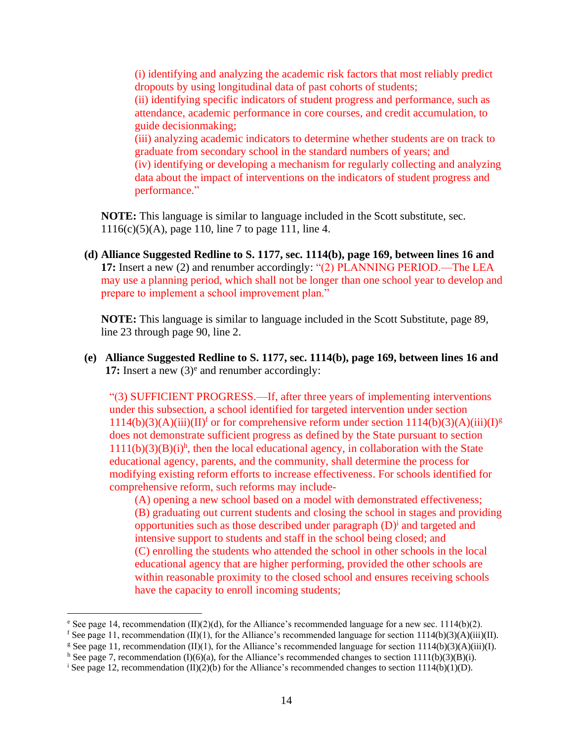(i) identifying and analyzing the academic risk factors that most reliably predict dropouts by using longitudinal data of past cohorts of students; (ii) identifying specific indicators of student progress and performance, such as attendance, academic performance in core courses, and credit accumulation, to guide decisionmaking; (iii) analyzing academic indicators to determine whether students are on track to graduate from secondary school in the standard numbers of years; and (iv) identifying or developing a mechanism for regularly collecting and analyzing data about the impact of interventions on the indicators of student progress and performance."

**NOTE:** This language is similar to language included in the Scott substitute, sec. 1116(c)(5)(A), page 110, line 7 to page 111, line 4.

**(d) Alliance Suggested Redline to S. 1177, sec. 1114(b), page 169, between lines 16 and 17:** Insert a new (2) and renumber accordingly: "(2) PLANNING PERIOD.—The LEA may use a planning period, which shall not be longer than one school year to develop and prepare to implement a school improvement plan."

**NOTE:** This language is similar to language included in the Scott Substitute, page 89, line 23 through page 90, line 2.

**(e) Alliance Suggested Redline to S. 1177, sec. 1114(b), page 169, between lines 16 and**  17: Insert a new  $(3)$ <sup>e</sup> and renumber accordingly:

"(3) SUFFICIENT PROGRESS.—If, after three years of implementing interventions under this subsection, a school identified for targeted intervention under section  $1114(b)(3)(A)(iii)(II)<sup>f</sup>$  or for comprehensive reform under section  $1114(b)(3)(A)(iii)(I)<sup>g</sup>$ does not demonstrate sufficient progress as defined by the State pursuant to section  $1111(b)(3)(B)(i)h$ , then the local educational agency, in collaboration with the State educational agency, parents, and the community, shall determine the process for modifying existing reform efforts to increase effectiveness. For schools identified for comprehensive reform, such reforms may include-

(A) opening a new school based on a model with demonstrated effectiveness; (B) graduating out current students and closing the school in stages and providing opportunities such as those described under paragraph (D)<sup>i</sup> and targeted and intensive support to students and staff in the school being closed; and (C) enrolling the students who attended the school in other schools in the local educational agency that are higher performing, provided the other schools are within reasonable proximity to the closed school and ensures receiving schools have the capacity to enroll incoming students;

<sup>&</sup>lt;sup>e</sup> See page 14, recommendation  $(II)(2)(d)$ , for the Alliance's recommended language for a new sec. 1114(b)(2).

f See page 11, recommendation (II)(1), for the Alliance's recommended language for section 1114(b)(3)(A)(iii)(II).

<sup>&</sup>lt;sup>g</sup> See page 11, recommendation (II)(1), for the Alliance's recommended language for section 1114(b)(3)(A)(iii)(I).

<sup>&</sup>lt;sup>h</sup> See page 7, recommendation (I)(6)(a), for the Alliance's recommended changes to section 1111(b)(3)(B)(i).

<sup>&</sup>lt;sup>i</sup> See page 12, recommendation (II)(2)(b) for the Alliance's recommended changes to section 1114(b)(1)(D).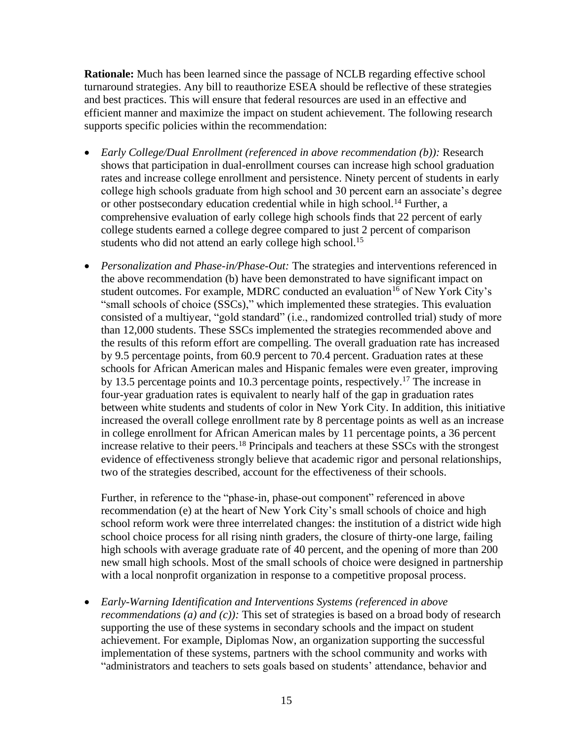**Rationale:** Much has been learned since the passage of NCLB regarding effective school turnaround strategies. Any bill to reauthorize ESEA should be reflective of these strategies and best practices. This will ensure that federal resources are used in an effective and efficient manner and maximize the impact on student achievement. The following research supports specific policies within the recommendation:

- *Early College/Dual Enrollment (referenced in above recommendation (b)):* Research shows that participation in dual-enrollment courses can increase high school graduation rates and increase college enrollment and persistence. Ninety percent of students in early college high schools graduate from high school and 30 percent earn an associate's degree or other postsecondary education credential while in high school.<sup>14</sup> Further, a comprehensive evaluation of early college high schools finds that 22 percent of early college students earned a college degree compared to just 2 percent of comparison students who did not attend an early college high school.<sup>15</sup>
- *Personalization and Phase-in/Phase-Out:* The strategies and interventions referenced in the above recommendation (b) have been demonstrated to have significant impact on student outcomes. For example, MDRC conducted an evaluation<sup>16</sup> of New York City's "small schools of choice (SSCs)," which implemented these strategies. This evaluation consisted of a multiyear, "gold standard" (i.e., randomized controlled trial) study of more than 12,000 students. These SSCs implemented the strategies recommended above and the results of this reform effort are compelling. The overall graduation rate has increased by 9.5 percentage points, from 60.9 percent to 70.4 percent. Graduation rates at these schools for African American males and Hispanic females were even greater, improving by 13.5 percentage points and 10.3 percentage points, respectively.<sup>17</sup> The increase in four-year graduation rates is equivalent to nearly half of the gap in graduation rates between white students and students of color in New York City. In addition, this initiative increased the overall college enrollment rate by 8 percentage points as well as an increase in college enrollment for African American males by 11 percentage points, a 36 percent increase relative to their peers.<sup>18</sup> Principals and teachers at these SSCs with the strongest evidence of effectiveness strongly believe that academic rigor and personal relationships, two of the strategies described, account for the effectiveness of their schools.

Further, in reference to the "phase-in, phase-out component" referenced in above recommendation (e) at the heart of New York City's small schools of choice and high school reform work were three interrelated changes: the institution of a district wide high school choice process for all rising ninth graders, the closure of thirty-one large, failing high schools with average graduate rate of 40 percent, and the opening of more than 200 new small high schools. Most of the small schools of choice were designed in partnership with a local nonprofit organization in response to a competitive proposal process.

• *Early-Warning Identification and Interventions Systems (referenced in above recommendations (a) and (c)):* This set of strategies is based on a broad body of research supporting the use of these systems in secondary schools and the impact on student achievement. For example, Diplomas Now, an organization supporting the successful implementation of these systems, partners with the school community and works with "administrators and teachers to sets goals based on students' attendance, behavior and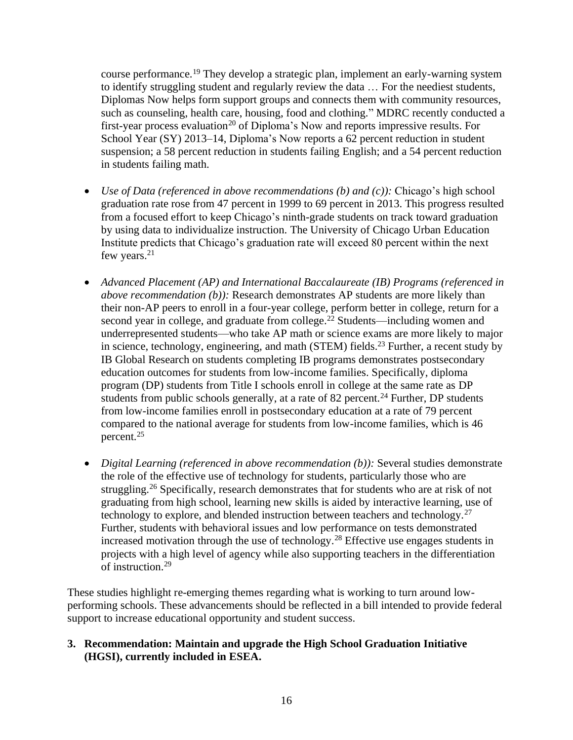course performance.<sup>19</sup> They develop a strategic plan, implement an early-warning system to identify struggling student and regularly review the data … For the neediest students, Diplomas Now helps form support groups and connects them with community resources, such as counseling, health care, housing, food and clothing." MDRC recently conducted a first-year process evaluation<sup>20</sup> of Diploma's Now and reports impressive results. For School Year (SY) 2013–14, Diploma's Now reports a 62 percent reduction in student suspension; a 58 percent reduction in students failing English; and a 54 percent reduction in students failing math.

- *Use of Data (referenced in above recommendations (b) and (c)):* Chicago's high school graduation rate rose from 47 percent in 1999 to 69 percent in 2013. This progress resulted from a focused effort to keep Chicago's ninth-grade students on track toward graduation by using data to individualize instruction. The University of Chicago Urban Education Institute predicts that Chicago's graduation rate will exceed 80 percent within the next few years.<sup>21</sup>
- *Advanced Placement (AP) and International Baccalaureate (IB) Programs (referenced in above recommendation (b)):* Research demonstrates AP students are more likely than their non-AP peers to enroll in a four-year college, perform better in college, return for a second year in college, and graduate from college.<sup>22</sup> Students—including women and underrepresented students—who take AP math or science exams are more likely to major in science, technology, engineering, and math (STEM) fields.<sup>23</sup> Further, a recent study by IB Global Research on students completing IB programs demonstrates postsecondary education outcomes for students from low-income families. Specifically, diploma program (DP) students from Title I schools enroll in college at the same rate as DP students from public schools generally, at a rate of 82 percent.<sup>24</sup> Further, DP students from low-income families enroll in postsecondary education at a rate of 79 percent compared to the national average for students from low-income families, which is 46 percent.<sup>25</sup>
- *Digital Learning (referenced in above recommendation (b)):* Several studies demonstrate the role of the effective use of technology for students, particularly those who are struggling.<sup>26</sup> Specifically, research demonstrates that for students who are at risk of not graduating from high school, learning new skills is aided by interactive learning, use of technology to explore, and blended instruction between teachers and technology.<sup>27</sup> Further, students with behavioral issues and low performance on tests demonstrated increased motivation through the use of technology.<sup>28</sup> Effective use engages students in projects with a high level of agency while also supporting teachers in the differentiation of instruction.<sup>29</sup>

These studies highlight re-emerging themes regarding what is working to turn around lowperforming schools. These advancements should be reflected in a bill intended to provide federal support to increase educational opportunity and student success.

### **3. Recommendation: Maintain and upgrade the High School Graduation Initiative (HGSI), currently included in ESEA.**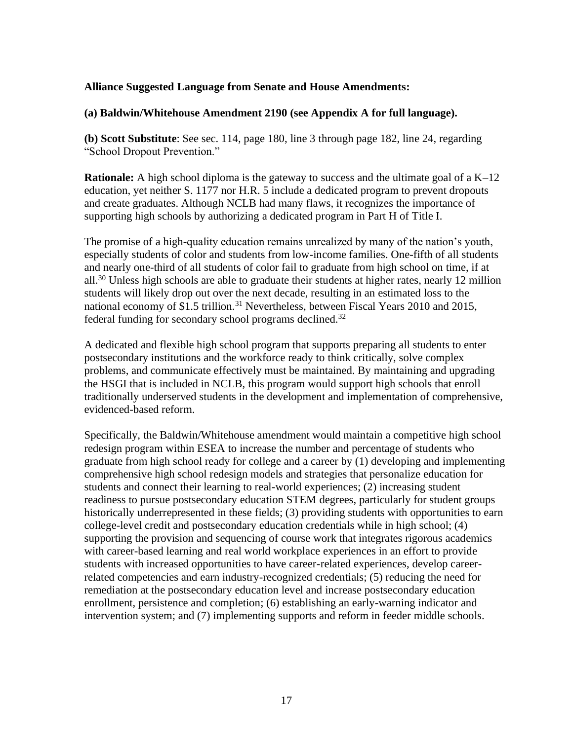#### **Alliance Suggested Language from Senate and House Amendments:**

#### **(a) Baldwin/Whitehouse Amendment 2190 (see Appendix A for full language).**

**(b) Scott Substitute**: See sec. 114, page 180, line 3 through page 182, line 24, regarding "School Dropout Prevention."

**Rationale:** A high school diploma is the gateway to success and the ultimate goal of a K–12 education, yet neither S. 1177 nor H.R. 5 include a dedicated program to prevent dropouts and create graduates. Although NCLB had many flaws, it recognizes the importance of supporting high schools by authorizing a dedicated program in Part H of Title I.

The promise of a high-quality education remains unrealized by many of the nation's youth, especially students of color and students from low-income families. One-fifth of all students and nearly one-third of all students of color fail to graduate from high school on time, if at all.<sup>30</sup> Unless high schools are able to graduate their students at higher rates, nearly 12 million students will likely drop out over the next decade, resulting in an estimated loss to the national economy of \$1.5 trillion.<sup>31</sup> Nevertheless, between Fiscal Years 2010 and 2015, federal funding for secondary school programs declined.<sup>32</sup>

A dedicated and flexible high school program that supports preparing all students to enter postsecondary institutions and the workforce ready to think critically, solve complex problems, and communicate effectively must be maintained. By maintaining and upgrading the HSGI that is included in NCLB, this program would support high schools that enroll traditionally underserved students in the development and implementation of comprehensive, evidenced-based reform.

Specifically, the Baldwin/Whitehouse amendment would maintain a competitive high school redesign program within ESEA to increase the number and percentage of students who graduate from high school ready for college and a career by (1) developing and implementing comprehensive high school redesign models and strategies that personalize education for students and connect their learning to real-world experiences; (2) increasing student readiness to pursue postsecondary education STEM degrees, particularly for student groups historically underrepresented in these fields; (3) providing students with opportunities to earn college-level credit and postsecondary education credentials while in high school; (4) supporting the provision and sequencing of course work that integrates rigorous academics with career-based learning and real world workplace experiences in an effort to provide students with increased opportunities to have career-related experiences, develop careerrelated competencies and earn industry-recognized credentials; (5) reducing the need for remediation at the postsecondary education level and increase postsecondary education enrollment, persistence and completion; (6) establishing an early-warning indicator and intervention system; and (7) implementing supports and reform in feeder middle schools.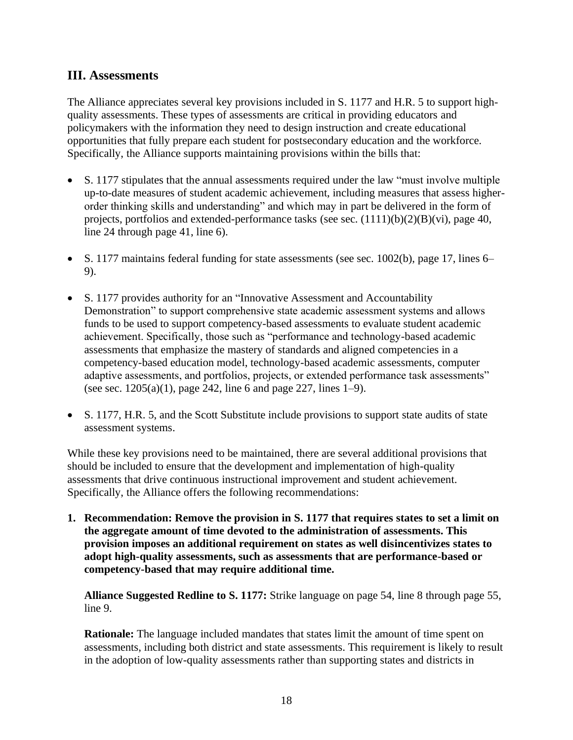## **III. Assessments**

The Alliance appreciates several key provisions included in S. 1177 and H.R. 5 to support highquality assessments. These types of assessments are critical in providing educators and policymakers with the information they need to design instruction and create educational opportunities that fully prepare each student for postsecondary education and the workforce. Specifically, the Alliance supports maintaining provisions within the bills that:

- S. 1177 stipulates that the annual assessments required under the law "must involve multiple up-to-date measures of student academic achievement, including measures that assess higherorder thinking skills and understanding" and which may in part be delivered in the form of projects, portfolios and extended-performance tasks (see sec.  $(1111)(b)(2)(B)(vi)$ , page 40, line 24 through page 41, line 6).
- S. 1177 maintains federal funding for state assessments (see sec. 1002(b), page 17, lines 6– 9).
- S. 1177 provides authority for an "Innovative Assessment and Accountability Demonstration" to support comprehensive state academic assessment systems and allows funds to be used to support competency-based assessments to evaluate student academic achievement. Specifically, those such as "performance and technology-based academic assessments that emphasize the mastery of standards and aligned competencies in a competency-based education model, technology-based academic assessments, computer adaptive assessments, and portfolios, projects, or extended performance task assessments" (see sec. 1205(a)(1), page 242, line 6 and page 227, lines 1–9).
- S. 1177, H.R. 5, and the Scott Substitute include provisions to support state audits of state assessment systems.

While these key provisions need to be maintained, there are several additional provisions that should be included to ensure that the development and implementation of high-quality assessments that drive continuous instructional improvement and student achievement. Specifically, the Alliance offers the following recommendations:

**1. Recommendation: Remove the provision in S. 1177 that requires states to set a limit on the aggregate amount of time devoted to the administration of assessments. This provision imposes an additional requirement on states as well disincentivizes states to adopt high-quality assessments, such as assessments that are performance-based or competency-based that may require additional time.**

**Alliance Suggested Redline to S. 1177:** Strike language on page 54, line 8 through page 55, line 9.

**Rationale:** The language included mandates that states limit the amount of time spent on assessments, including both district and state assessments. This requirement is likely to result in the adoption of low-quality assessments rather than supporting states and districts in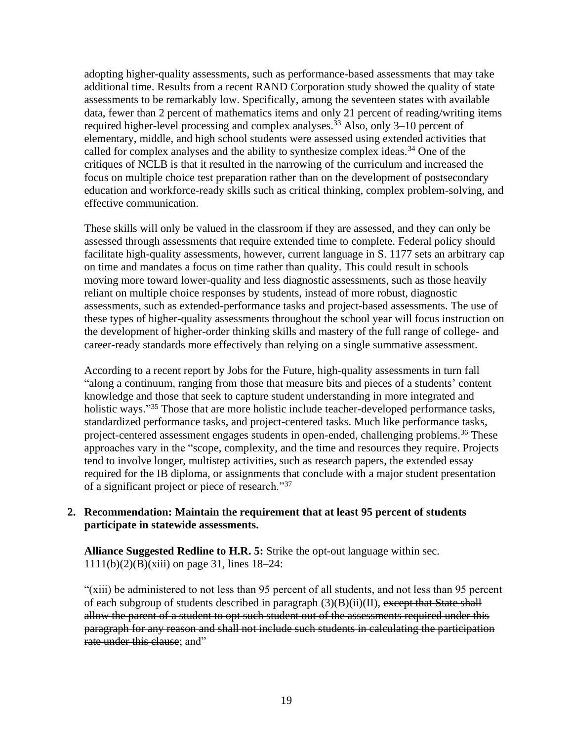adopting higher-quality assessments, such as performance-based assessments that may take additional time. Results from a recent RAND Corporation study showed the quality of state assessments to be remarkably low. Specifically, among the seventeen states with available data, fewer than 2 percent of mathematics items and only 21 percent of reading/writing items required higher-level processing and complex analyses.<sup>33</sup> Also, only 3–10 percent of elementary, middle, and high school students were assessed using extended activities that called for complex analyses and the ability to synthesize complex ideas.<sup>34</sup> One of the critiques of NCLB is that it resulted in the narrowing of the curriculum and increased the focus on multiple choice test preparation rather than on the development of postsecondary education and workforce-ready skills such as critical thinking, complex problem-solving, and effective communication.

These skills will only be valued in the classroom if they are assessed, and they can only be assessed through assessments that require extended time to complete. Federal policy should facilitate high-quality assessments, however, current language in S. 1177 sets an arbitrary cap on time and mandates a focus on time rather than quality. This could result in schools moving more toward lower-quality and less diagnostic assessments, such as those heavily reliant on multiple choice responses by students, instead of more robust, diagnostic assessments, such as extended-performance tasks and project-based assessments. The use of these types of higher-quality assessments throughout the school year will focus instruction on the development of higher-order thinking skills and mastery of the full range of college- and career-ready standards more effectively than relying on a single summative assessment.

According to a recent report by Jobs for the Future, high-quality assessments in turn fall "along a continuum, ranging from those that measure bits and pieces of a students' content knowledge and those that seek to capture student understanding in more integrated and holistic ways."<sup>35</sup> Those that are more holistic include teacher-developed performance tasks, standardized performance tasks, and project-centered tasks. Much like performance tasks, project-centered assessment engages students in open-ended, challenging problems.<sup>36</sup> These approaches vary in the "scope, complexity, and the time and resources they require. Projects tend to involve longer, multistep activities, such as research papers, the extended essay required for the IB diploma, or assignments that conclude with a major student presentation of a significant project or piece of research."<sup>37</sup>

#### **2. Recommendation: Maintain the requirement that at least 95 percent of students participate in statewide assessments.**

**Alliance Suggested Redline to H.R. 5:** Strike the opt-out language within sec.  $1111(b)(2)(B)(xiii)$  on page 31, lines  $18-24$ :

"(xiii) be administered to not less than 95 percent of all students, and not less than 95 percent of each subgroup of students described in paragraph  $(3)(B)(ii)(II)$ , except that State shall allow the parent of a student to opt such student out of the assessments required under this paragraph for any reason and shall not include such students in calculating the participation rate under this clause; and"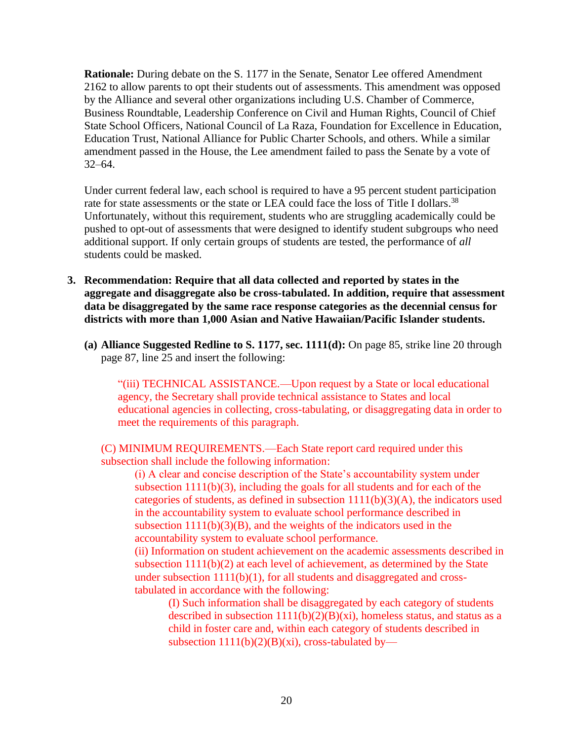**Rationale:** During debate on the S. 1177 in the Senate, Senator Lee offered Amendment 2162 to allow parents to opt their students out of assessments. This amendment was opposed by the Alliance and several other organizations including U.S. Chamber of Commerce, Business Roundtable, Leadership Conference on Civil and Human Rights, Council of Chief State School Officers, National Council of La Raza, Foundation for Excellence in Education, Education Trust, National Alliance for Public Charter Schools, and others. While a similar amendment passed in the House, the Lee amendment failed to pass the Senate by a vote of 32–64.

Under current federal law, each school is required to have a 95 percent student participation rate for state assessments or the state or LEA could face the loss of Title I dollars.<sup>38</sup> Unfortunately, without this requirement, students who are struggling academically could be pushed to opt-out of assessments that were designed to identify student subgroups who need additional support. If only certain groups of students are tested, the performance of *all* students could be masked.

- **3. Recommendation: Require that all data collected and reported by states in the aggregate and disaggregate also be cross-tabulated. In addition, require that assessment data be disaggregated by the same race response categories as the decennial census for districts with more than 1,000 Asian and Native Hawaiian/Pacific Islander students.**
	- **(a) Alliance Suggested Redline to S. 1177, sec. 1111(d):** On page 85, strike line 20 through page 87, line 25 and insert the following:

"(iii) TECHNICAL ASSISTANCE.—Upon request by a State or local educational agency, the Secretary shall provide technical assistance to States and local educational agencies in collecting, cross-tabulating, or disaggregating data in order to meet the requirements of this paragraph.

(C) MINIMUM REQUIREMENTS.—Each State report card required under this subsection shall include the following information:

(i) A clear and concise description of the State's accountability system under subsection 1111(b)(3), including the goals for all students and for each of the categories of students, as defined in subsection  $1111(b)(3)(A)$ , the indicators used in the accountability system to evaluate school performance described in subsection  $1111(b)(3)(B)$ , and the weights of the indicators used in the accountability system to evaluate school performance.

(ii) Information on student achievement on the academic assessments described in subsection  $1111(b)(2)$  at each level of achievement, as determined by the State under subsection 1111(b)(1), for all students and disaggregated and crosstabulated in accordance with the following:

(I) Such information shall be disaggregated by each category of students described in subsection  $1111(b)(2)(B)(xi)$ , homeless status, and status as a child in foster care and, within each category of students described in subsection  $1111(b)(2)(B)(xi)$ , cross-tabulated by—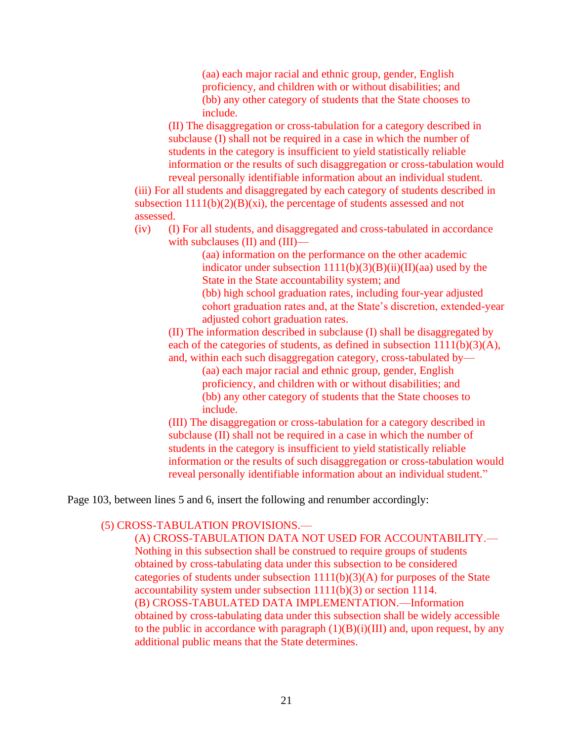(aa) each major racial and ethnic group, gender, English proficiency, and children with or without disabilities; and (bb) any other category of students that the State chooses to include.

(II) The disaggregation or cross-tabulation for a category described in subclause (I) shall not be required in a case in which the number of students in the category is insufficient to yield statistically reliable information or the results of such disaggregation or cross-tabulation would reveal personally identifiable information about an individual student.

(iii) For all students and disaggregated by each category of students described in subsection  $1111(b)(2)(B)(xi)$ , the percentage of students assessed and not assessed.

(iv) (I) For all students, and disaggregated and cross-tabulated in accordance with subclauses (II) and (III)—

> (aa) information on the performance on the other academic indicator under subsection  $1111(b)(3)(B)(ii)(II)(aa)$  used by the State in the State accountability system; and

(bb) high school graduation rates, including four-year adjusted cohort graduation rates and, at the State's discretion, extended-year adjusted cohort graduation rates.

(II) The information described in subclause (I) shall be disaggregated by each of the categories of students, as defined in subsection 1111(b)(3)(A), and, within each such disaggregation category, cross-tabulated by—

(aa) each major racial and ethnic group, gender, English proficiency, and children with or without disabilities; and (bb) any other category of students that the State chooses to include.

(III) The disaggregation or cross-tabulation for a category described in subclause (II) shall not be required in a case in which the number of students in the category is insufficient to yield statistically reliable information or the results of such disaggregation or cross-tabulation would reveal personally identifiable information about an individual student."

Page 103, between lines 5 and 6, insert the following and renumber accordingly:

## (5) CROSS-TABULATION PROVISIONS.—

(A) CROSS-TABULATION DATA NOT USED FOR ACCOUNTABILITY.— Nothing in this subsection shall be construed to require groups of students obtained by cross-tabulating data under this subsection to be considered categories of students under subsection  $1111(b)(3)(A)$  for purposes of the State accountability system under subsection 1111(b)(3) or section 1114. (B) CROSS-TABULATED DATA IMPLEMENTATION.—Information obtained by cross-tabulating data under this subsection shall be widely accessible to the public in accordance with paragraph  $(1)(B)(i)(III)$  and, upon request, by any additional public means that the State determines.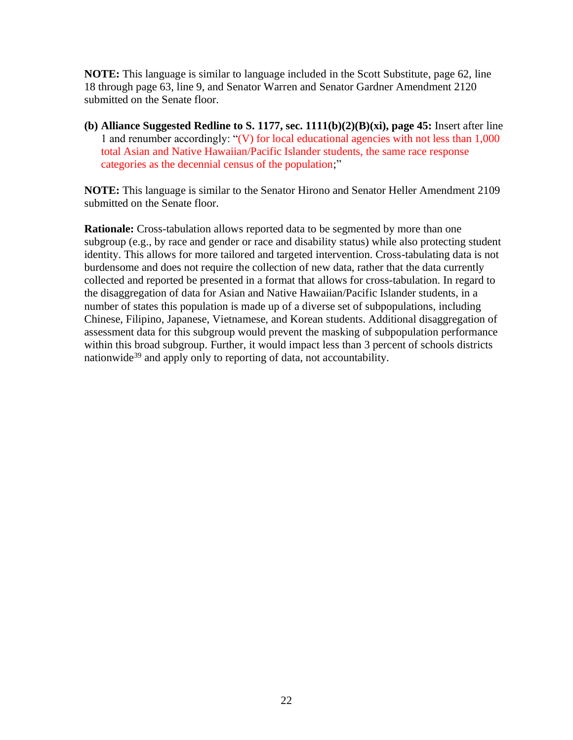**NOTE:** This language is similar to language included in the Scott Substitute, page 62, line 18 through page 63, line 9, and Senator Warren and Senator Gardner Amendment 2120 submitted on the Senate floor.

**(b) Alliance Suggested Redline to S. 1177, sec. 1111(b)(2)(B)(xi), page 45:** Insert after line 1 and renumber accordingly: "(V) for local educational agencies with not less than 1,000 total Asian and Native Hawaiian/Pacific Islander students, the same race response categories as the decennial census of the population;"

**NOTE:** This language is similar to the Senator Hirono and Senator Heller Amendment 2109 submitted on the Senate floor.

**Rationale:** Cross-tabulation allows reported data to be segmented by more than one subgroup (e.g., by race and gender or race and disability status) while also protecting student identity. This allows for more tailored and targeted intervention. Cross-tabulating data is not burdensome and does not require the collection of new data, rather that the data currently collected and reported be presented in a format that allows for cross-tabulation. In regard to the disaggregation of data for Asian and Native Hawaiian/Pacific Islander students, in a number of states this population is made up of a diverse set of subpopulations, including Chinese, Filipino, Japanese, Vietnamese, and Korean students. Additional disaggregation of assessment data for this subgroup would prevent the masking of subpopulation performance within this broad subgroup. Further, it would impact less than 3 percent of schools districts nationwide<sup>39</sup> and apply only to reporting of data, not accountability.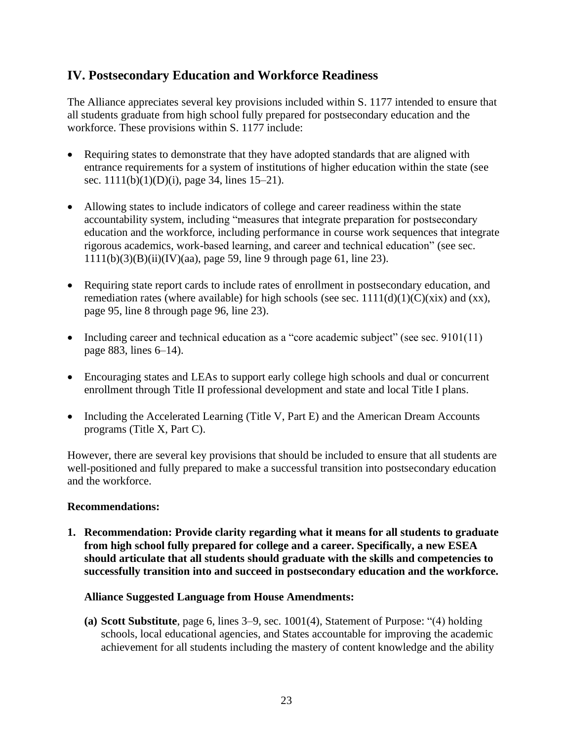## **IV. Postsecondary Education and Workforce Readiness**

The Alliance appreciates several key provisions included within S. 1177 intended to ensure that all students graduate from high school fully prepared for postsecondary education and the workforce. These provisions within S. 1177 include:

- Requiring states to demonstrate that they have adopted standards that are aligned with entrance requirements for a system of institutions of higher education within the state (see sec. 1111(b)(1)(D)(i), page 34, lines 15–21).
- Allowing states to include indicators of college and career readiness within the state accountability system, including "measures that integrate preparation for postsecondary education and the workforce, including performance in course work sequences that integrate rigorous academics, work-based learning, and career and technical education" (see sec.  $1111(b)(3)(B)(ii)(IV)(aa)$ , page 59, line 9 through page 61, line 23).
- Requiring state report cards to include rates of enrollment in postsecondary education, and remediation rates (where available) for high schools (see sec.  $1111(d)(1)(C)(\overline{\mathrm{x}}\mathrm{i}\mathrm{x})$  and  $(\overline{\mathrm{x}}\mathrm{x})$ , page 95, line 8 through page 96, line 23).
- Including career and technical education as a "core academic subject" (see sec. 9101(11) page 883, lines 6–14).
- Encouraging states and LEAs to support early college high schools and dual or concurrent enrollment through Title II professional development and state and local Title I plans.
- Including the Accelerated Learning (Title V, Part E) and the American Dream Accounts programs (Title X, Part C).

However, there are several key provisions that should be included to ensure that all students are well-positioned and fully prepared to make a successful transition into postsecondary education and the workforce.

#### **Recommendations:**

**1. Recommendation: Provide clarity regarding what it means for all students to graduate from high school fully prepared for college and a career. Specifically, a new ESEA should articulate that all students should graduate with the skills and competencies to successfully transition into and succeed in postsecondary education and the workforce.**

### **Alliance Suggested Language from House Amendments:**

**(a) Scott Substitute**, page 6, lines 3–9, sec. 1001(4), Statement of Purpose: "(4) holding schools, local educational agencies, and States accountable for improving the academic achievement for all students including the mastery of content knowledge and the ability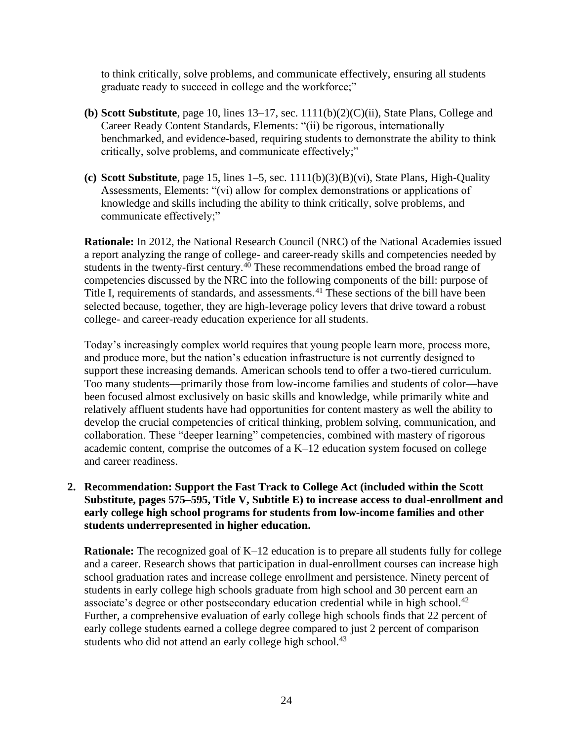to think critically, solve problems, and communicate effectively, ensuring all students graduate ready to succeed in college and the workforce;"

- **(b) Scott Substitute**, page 10, lines 13–17, sec. 1111(b)(2)(C)(ii), State Plans, College and Career Ready Content Standards, Elements: "(ii) be rigorous, internationally benchmarked, and evidence-based, requiring students to demonstrate the ability to think critically, solve problems, and communicate effectively;"
- **(c) Scott Substitute**, page 15, lines 1–5, sec. 1111(b)(3)(B)(vi), State Plans, High-Quality Assessments, Elements: "(vi) allow for complex demonstrations or applications of knowledge and skills including the ability to think critically, solve problems, and communicate effectively;"

**Rationale:** In 2012, the National Research Council (NRC) of the National Academies issued a report analyzing the range of college- and career-ready skills and competencies needed by students in the twenty-first century.<sup>40</sup> These recommendations embed the broad range of competencies discussed by the NRC into the following components of the bill: purpose of Title I, requirements of standards, and assessments.<sup>41</sup> These sections of the bill have been selected because, together, they are high-leverage policy levers that drive toward a robust college- and career-ready education experience for all students.

Today's increasingly complex world requires that young people learn more, process more, and produce more, but the nation's education infrastructure is not currently designed to support these increasing demands. American schools tend to offer a two-tiered curriculum. Too many students—primarily those from low-income families and students of color—have been focused almost exclusively on basic skills and knowledge, while primarily white and relatively affluent students have had opportunities for content mastery as well the ability to develop the crucial competencies of critical thinking, problem solving, communication, and collaboration. These "deeper learning" competencies, combined with mastery of rigorous academic content, comprise the outcomes of a K–12 education system focused on college and career readiness.

### **2. Recommendation: Support the Fast Track to College Act (included within the Scott Substitute, pages 575–595, Title V, Subtitle E) to increase access to dual-enrollment and early college high school programs for students from low-income families and other students underrepresented in higher education.**

**Rationale:** The recognized goal of K–12 education is to prepare all students fully for college and a career. Research shows that participation in dual-enrollment courses can increase high school graduation rates and increase college enrollment and persistence. Ninety percent of students in early college high schools graduate from high school and 30 percent earn an associate's degree or other postsecondary education credential while in high school.<sup>42</sup> Further, a comprehensive evaluation of early college high schools finds that 22 percent of early college students earned a college degree compared to just 2 percent of comparison students who did not attend an early college high school.<sup>43</sup>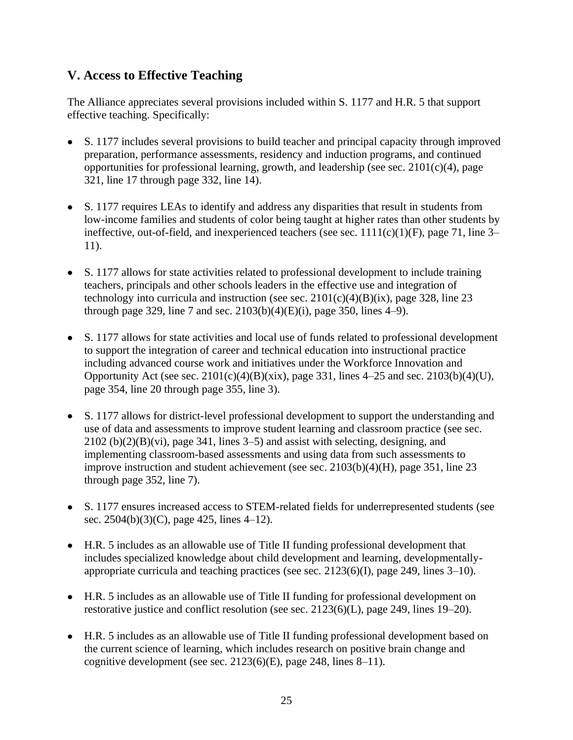## **V. Access to Effective Teaching**

The Alliance appreciates several provisions included within S. 1177 and H.R. 5 that support effective teaching. Specifically:

- S. 1177 includes several provisions to build teacher and principal capacity through improved preparation, performance assessments, residency and induction programs, and continued opportunities for professional learning, growth, and leadership (see sec.  $2101(c)(4)$ , page 321, line 17 through page 332, line 14).
- S. 1177 requires LEAs to identify and address any disparities that result in students from low-income families and students of color being taught at higher rates than other students by ineffective, out-of-field, and inexperienced teachers (see sec.  $1111(c)(1)(F)$ , page 71, line 3– 11).
- S. 1177 allows for state activities related to professional development to include training teachers, principals and other schools leaders in the effective use and integration of technology into curricula and instruction (see sec.  $2101(c)(4)(B)(ix)$ , page 328, line 23 through page 329, line 7 and sec.  $2103(b)(4)(E)(i)$ , page 350, lines 4–9).
- S. 1177 allows for state activities and local use of funds related to professional development to support the integration of career and technical education into instructional practice including advanced course work and initiatives under the Workforce Innovation and Opportunity Act (see sec. 2101(c)(4)(B)(xix), page 331, lines 4–25 and sec. 2103(b)(4)(U), page 354, line 20 through page 355, line 3).
- S. 1177 allows for district-level professional development to support the understanding and use of data and assessments to improve student learning and classroom practice (see sec.  $2102$  (b) $(2)(B)(vi)$ , page 341, lines 3–5) and assist with selecting, designing, and implementing classroom-based assessments and using data from such assessments to improve instruction and student achievement (see sec. 2103(b)(4)(H), page 351, line 23 through page 352, line 7).
- S. 1177 ensures increased access to STEM-related fields for underrepresented students (see sec. 2504(b)(3)(C), page 425, lines 4–12).
- H.R. 5 includes as an allowable use of Title II funding professional development that includes specialized knowledge about child development and learning, developmentallyappropriate curricula and teaching practices (see sec. 2123(6)(I), page 249, lines 3–10).
- H.R. 5 includes as an allowable use of Title II funding for professional development on restorative justice and conflict resolution (see sec. 2123(6)(L), page 249, lines 19–20).
- H.R. 5 includes as an allowable use of Title II funding professional development based on the current science of learning, which includes research on positive brain change and cognitive development (see sec. 2123(6)(E), page 248, lines 8–11).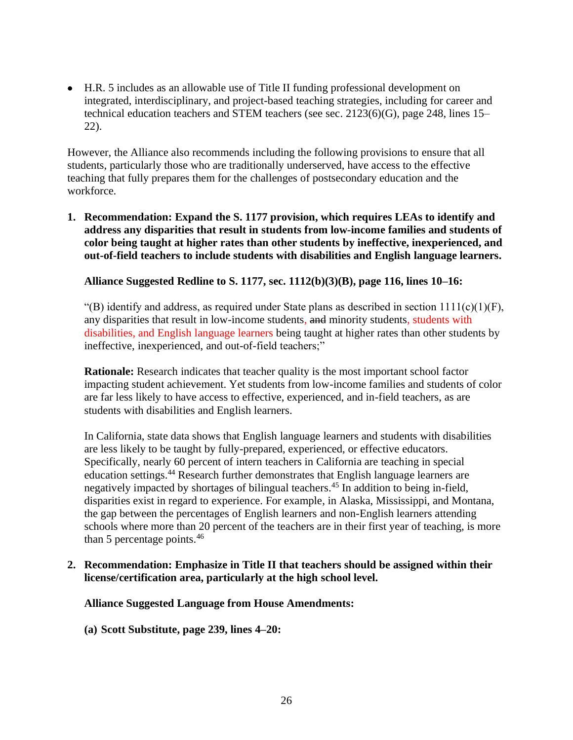• H.R. 5 includes as an allowable use of Title II funding professional development on integrated, interdisciplinary, and project-based teaching strategies, including for career and technical education teachers and STEM teachers (see sec. 2123(6)(G), page 248, lines 15– 22).

However, the Alliance also recommends including the following provisions to ensure that all students, particularly those who are traditionally underserved, have access to the effective teaching that fully prepares them for the challenges of postsecondary education and the workforce.

**1. Recommendation: Expand the S. 1177 provision, which requires LEAs to identify and address any disparities that result in students from low-income families and students of color being taught at higher rates than other students by ineffective, inexperienced, and out-of-field teachers to include students with disabilities and English language learners.**

#### **Alliance Suggested Redline to S. 1177, sec. 1112(b)(3)(B), page 116, lines 10–16:**

"(B) identify and address, as required under State plans as described in section  $1111(c)(1)(F)$ , any disparities that result in low-income students, and minority students, students with disabilities, and English language learners being taught at higher rates than other students by ineffective, inexperienced, and out-of-field teachers;"

**Rationale:** Research indicates that teacher quality is the most important school factor impacting student achievement. Yet students from low-income families and students of color are far less likely to have access to effective, experienced, and in-field teachers, as are students with disabilities and English learners.

In California, state data shows that English language learners and students with disabilities are less likely to be taught by fully-prepared, experienced, or effective educators. Specifically, nearly 60 percent of intern teachers in California are teaching in special education settings.<sup>44</sup> Research further demonstrates that English language learners are negatively impacted by shortages of bilingual teachers.<sup>45</sup> In addition to being in-field, disparities exist in regard to experience. For example, in Alaska, Mississippi, and Montana, the gap between the percentages of English learners and non-English learners attending schools where more than 20 percent of the teachers are in their first year of teaching, is more than 5 percentage points.<sup>46</sup>

#### **2. Recommendation: Emphasize in Title II that teachers should be assigned within their license/certification area, particularly at the high school level.**

#### **Alliance Suggested Language from House Amendments:**

**(a) Scott Substitute, page 239, lines 4–20:**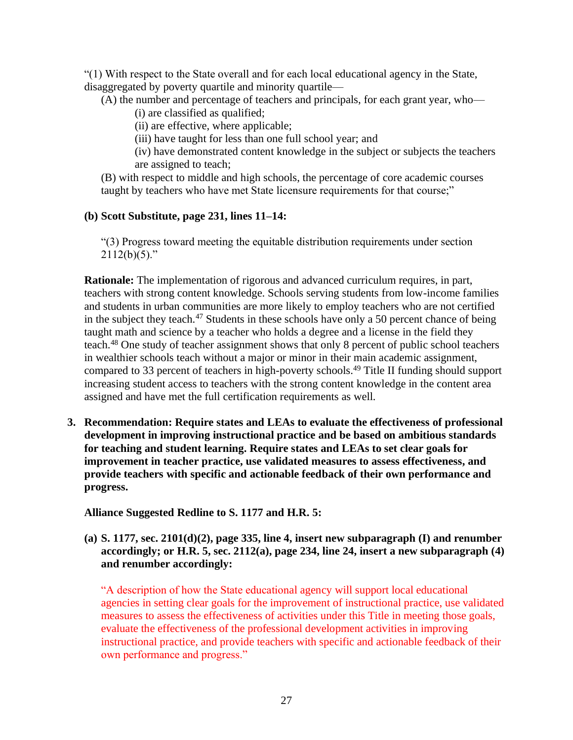"(1) With respect to the State overall and for each local educational agency in the State, disaggregated by poverty quartile and minority quartile—

(A) the number and percentage of teachers and principals, for each grant year, who—

(i) are classified as qualified;

(ii) are effective, where applicable;

(iii) have taught for less than one full school year; and

(iv) have demonstrated content knowledge in the subject or subjects the teachers are assigned to teach;

(B) with respect to middle and high schools, the percentage of core academic courses taught by teachers who have met State licensure requirements for that course;"

### **(b) Scott Substitute, page 231, lines 11–14:**

"(3) Progress toward meeting the equitable distribution requirements under section  $2112(b)(5)$ ."

**Rationale:** The implementation of rigorous and advanced curriculum requires, in part, teachers with strong content knowledge. Schools serving students from low-income families and students in urban communities are more likely to employ teachers who are not certified in the subject they teach.<sup>47</sup> Students in these schools have only a 50 percent chance of being taught math and science by a teacher who holds a degree and a license in the field they teach.<sup>48</sup> One study of teacher assignment shows that only 8 percent of public school teachers in wealthier schools teach without a major or minor in their main academic assignment, compared to 33 percent of teachers in high-poverty schools.<sup>49</sup> Title II funding should support increasing student access to teachers with the strong content knowledge in the content area assigned and have met the full certification requirements as well.

**3. Recommendation: Require states and LEAs to evaluate the effectiveness of professional development in improving instructional practice and be based on ambitious standards for teaching and student learning. Require states and LEAs to set clear goals for improvement in teacher practice, use validated measures to assess effectiveness, and provide teachers with specific and actionable feedback of their own performance and progress.**

**Alliance Suggested Redline to S. 1177 and H.R. 5:**

**(a) S. 1177, sec. 2101(d)(2), page 335, line 4, insert new subparagraph (I) and renumber accordingly; or H.R. 5, sec. 2112(a), page 234, line 24, insert a new subparagraph (4) and renumber accordingly:**

"A description of how the State educational agency will support local educational agencies in setting clear goals for the improvement of instructional practice, use validated measures to assess the effectiveness of activities under this Title in meeting those goals, evaluate the effectiveness of the professional development activities in improving instructional practice, and provide teachers with specific and actionable feedback of their own performance and progress."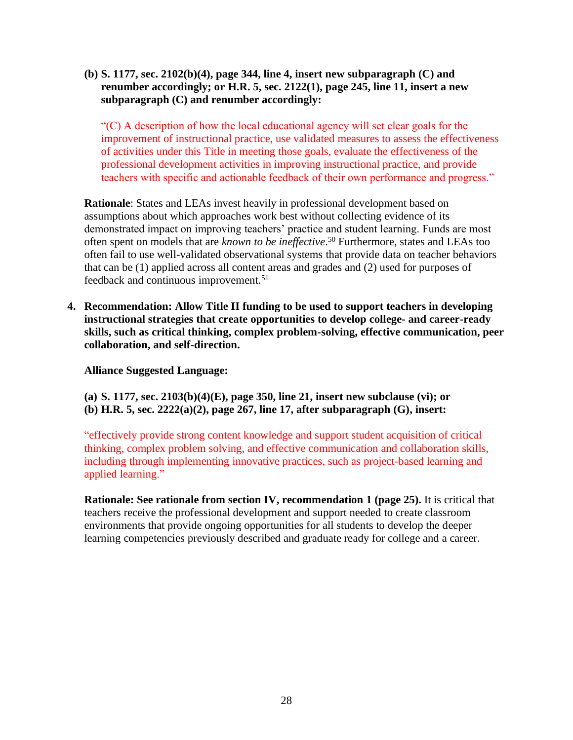**(b) S. 1177, sec. 2102(b)(4), page 344, line 4, insert new subparagraph (C) and renumber accordingly; or H.R. 5, sec. 2122(1), page 245, line 11, insert a new subparagraph (C) and renumber accordingly:**

"(C) A description of how the local educational agency will set clear goals for the improvement of instructional practice, use validated measures to assess the effectiveness of activities under this Title in meeting those goals, evaluate the effectiveness of the professional development activities in improving instructional practice, and provide teachers with specific and actionable feedback of their own performance and progress."

**Rationale**: States and LEAs invest heavily in professional development based on assumptions about which approaches work best without collecting evidence of its demonstrated impact on improving teachers' practice and student learning. Funds are most often spent on models that are *known to be ineffective*. <sup>50</sup> Furthermore, states and LEAs too often fail to use well-validated observational systems that provide data on teacher behaviors that can be (1) applied across all content areas and grades and (2) used for purposes of feedback and continuous improvement.<sup>51</sup>

**4. Recommendation: Allow Title II funding to be used to support teachers in developing instructional strategies that create opportunities to develop college- and career-ready skills, such as critical thinking, complex problem-solving, effective communication, peer collaboration, and self-direction.** 

**Alliance Suggested Language:** 

**(a) S. 1177, sec. 2103(b)(4)(E), page 350, line 21, insert new subclause (vi); or (b) H.R. 5, sec. 2222(a)(2), page 267, line 17, after subparagraph (G), insert:**

"effectively provide strong content knowledge and support student acquisition of critical thinking, complex problem solving, and effective communication and collaboration skills, including through implementing innovative practices, such as project-based learning and applied learning."

**Rationale: See rationale from section IV, recommendation 1 (page 25).** It is critical that teachers receive the professional development and support needed to create classroom environments that provide ongoing opportunities for all students to develop the deeper learning competencies previously described and graduate ready for college and a career.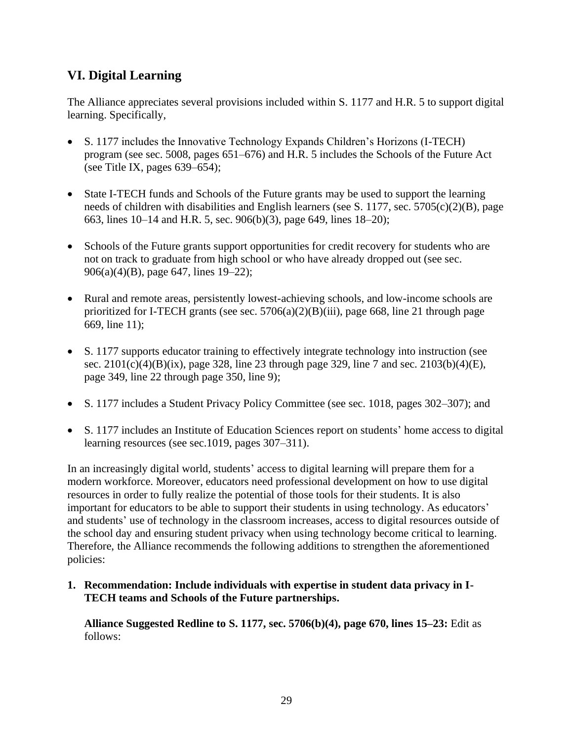## **VI. Digital Learning**

The Alliance appreciates several provisions included within S. 1177 and H.R. 5 to support digital learning. Specifically,

- S. 1177 includes the Innovative Technology Expands Children's Horizons (I-TECH) program (see sec. 5008, pages 651–676) and H.R. 5 includes the Schools of the Future Act (see Title IX, pages  $639-654$ );
- State I-TECH funds and Schools of the Future grants may be used to support the learning needs of children with disabilities and English learners (see S. 1177, sec. 5705(c)(2)(B), page 663, lines 10–14 and H.R. 5, sec. 906(b)(3), page 649, lines 18–20);
- Schools of the Future grants support opportunities for credit recovery for students who are not on track to graduate from high school or who have already dropped out (see sec. 906(a)(4)(B), page 647, lines 19–22);
- Rural and remote areas, persistently lowest-achieving schools, and low-income schools are prioritized for I-TECH grants (see sec.  $5706(a)(2)(B)(iii)$ , page 668, line 21 through page 669, line 11);
- S. 1177 supports educator training to effectively integrate technology into instruction (see sec.  $2101(c)(4)(B)(ix)$ , page 328, line 23 through page 329, line 7 and sec.  $2103(b)(4)(E)$ , page 349, line 22 through page 350, line 9);
- S. 1177 includes a Student Privacy Policy Committee (see sec. 1018, pages 302–307); and
- S. 1177 includes an Institute of Education Sciences report on students' home access to digital learning resources (see sec.1019, pages 307–311).

In an increasingly digital world, students' access to digital learning will prepare them for a modern workforce. Moreover, educators need professional development on how to use digital resources in order to fully realize the potential of those tools for their students. It is also important for educators to be able to support their students in using technology. As educators' and students' use of technology in the classroom increases, access to digital resources outside of the school day and ensuring student privacy when using technology become critical to learning. Therefore, the Alliance recommends the following additions to strengthen the aforementioned policies:

**1. Recommendation: Include individuals with expertise in student data privacy in I-TECH teams and Schools of the Future partnerships.**

**Alliance Suggested Redline to S. 1177, sec. 5706(b)(4), page 670, lines 15–23:** Edit as follows: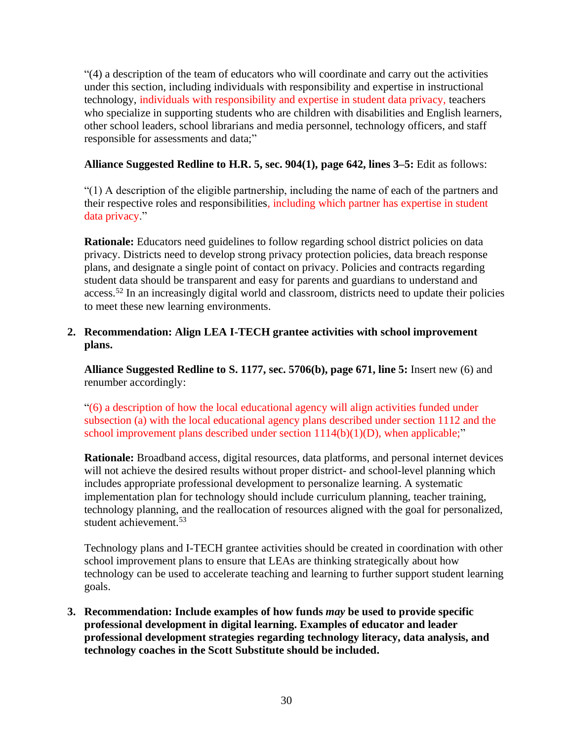"(4) a description of the team of educators who will coordinate and carry out the activities under this section, including individuals with responsibility and expertise in instructional technology, individuals with responsibility and expertise in student data privacy, teachers who specialize in supporting students who are children with disabilities and English learners, other school leaders, school librarians and media personnel, technology officers, and staff responsible for assessments and data;"

### **Alliance Suggested Redline to H.R. 5, sec. 904(1), page 642, lines 3–5:** Edit as follows:

"(1) A description of the eligible partnership, including the name of each of the partners and their respective roles and responsibilities, including which partner has expertise in student data privacy."

**Rationale:** Educators need guidelines to follow regarding school district policies on data privacy. Districts need to develop strong privacy protection policies, data breach response plans, and designate a single point of contact on privacy. Policies and contracts regarding student data should be transparent and easy for parents and guardians to understand and access.<sup>52</sup> In an increasingly digital world and classroom, districts need to update their policies to meet these new learning environments.

### **2. Recommendation: Align LEA I-TECH grantee activities with school improvement plans.**

**Alliance Suggested Redline to S. 1177, sec. 5706(b), page 671, line 5:** Insert new (6) and renumber accordingly:

"(6) a description of how the local educational agency will align activities funded under subsection (a) with the local educational agency plans described under section 1112 and the school improvement plans described under section  $1114(b)(1)(D)$ , when applicable;"

**Rationale:** Broadband access, digital resources, data platforms, and personal internet devices will not achieve the desired results without proper district- and school-level planning which includes appropriate professional development to personalize learning. A systematic implementation plan for technology should include curriculum planning, teacher training, technology planning, and the reallocation of resources aligned with the goal for personalized, student achievement.<sup>53</sup>

Technology plans and I-TECH grantee activities should be created in coordination with other school improvement plans to ensure that LEAs are thinking strategically about how technology can be used to accelerate teaching and learning to further support student learning goals.

**3. Recommendation: Include examples of how funds** *may* **be used to provide specific professional development in digital learning. Examples of educator and leader professional development strategies regarding technology literacy, data analysis, and technology coaches in the Scott Substitute should be included.**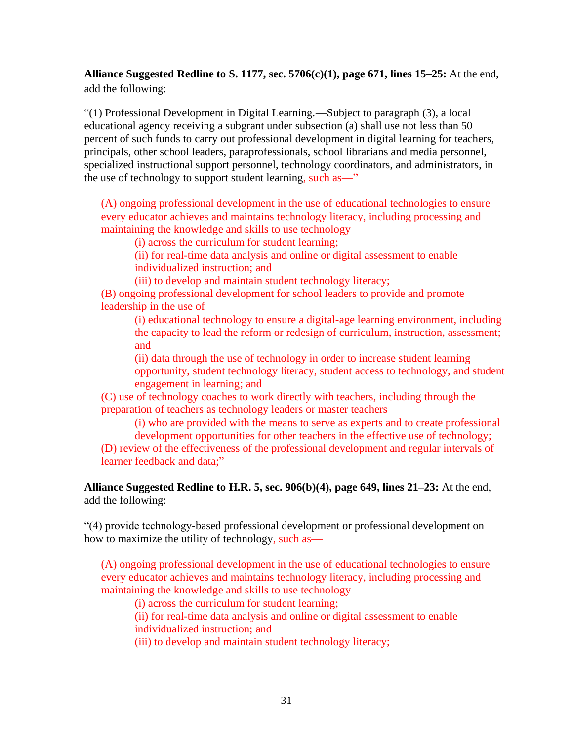## **Alliance Suggested Redline to S. 1177, sec. 5706(c)(1), page 671, lines 15–25:** At the end, add the following:

"(1) Professional Development in Digital Learning.—Subject to paragraph (3), a local educational agency receiving a subgrant under subsection (a) shall use not less than 50 percent of such funds to carry out professional development in digital learning for teachers, principals, other school leaders, paraprofessionals, school librarians and media personnel, specialized instructional support personnel, technology coordinators, and administrators, in the use of technology to support student learning, such as—"

(A) ongoing professional development in the use of educational technologies to ensure every educator achieves and maintains technology literacy, including processing and maintaining the knowledge and skills to use technology—

(i) across the curriculum for student learning;

(ii) for real-time data analysis and online or digital assessment to enable individualized instruction; and

(iii) to develop and maintain student technology literacy;

(B) ongoing professional development for school leaders to provide and promote leadership in the use of—

(i) educational technology to ensure a digital-age learning environment, including the capacity to lead the reform or redesign of curriculum, instruction, assessment; and

(ii) data through the use of technology in order to increase student learning opportunity, student technology literacy, student access to technology, and student engagement in learning; and

(C) use of technology coaches to work directly with teachers, including through the preparation of teachers as technology leaders or master teachers—

(i) who are provided with the means to serve as experts and to create professional development opportunities for other teachers in the effective use of technology;

(D) review of the effectiveness of the professional development and regular intervals of learner feedback and data;"

**Alliance Suggested Redline to H.R. 5, sec. 906(b)(4), page 649, lines 21–23:** At the end, add the following:

"(4) provide technology-based professional development or professional development on how to maximize the utility of technology, such as—

(A) ongoing professional development in the use of educational technologies to ensure every educator achieves and maintains technology literacy, including processing and maintaining the knowledge and skills to use technology—

(i) across the curriculum for student learning;

(ii) for real-time data analysis and online or digital assessment to enable individualized instruction; and

(iii) to develop and maintain student technology literacy;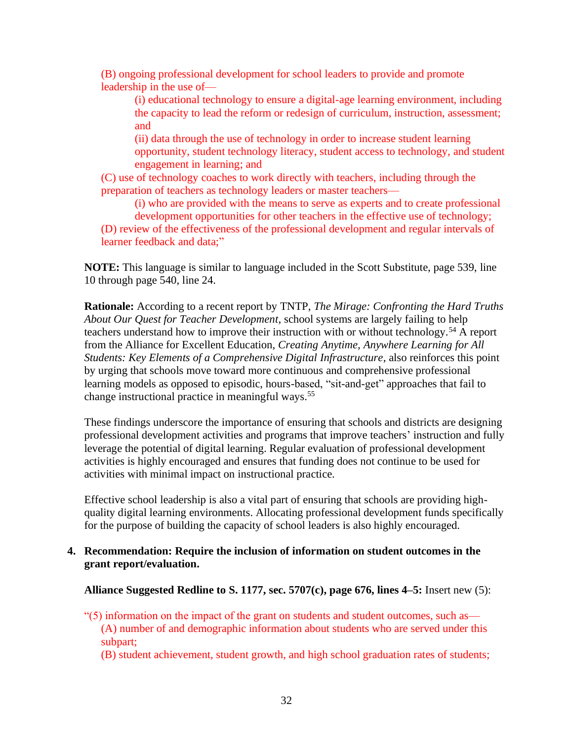(B) ongoing professional development for school leaders to provide and promote leadership in the use of—

(i) educational technology to ensure a digital-age learning environment, including the capacity to lead the reform or redesign of curriculum, instruction, assessment; and

(ii) data through the use of technology in order to increase student learning opportunity, student technology literacy, student access to technology, and student engagement in learning; and

(C) use of technology coaches to work directly with teachers, including through the preparation of teachers as technology leaders or master teachers—

(i) who are provided with the means to serve as experts and to create professional development opportunities for other teachers in the effective use of technology;

(D) review of the effectiveness of the professional development and regular intervals of learner feedback and data;"

**NOTE:** This language is similar to language included in the Scott Substitute, page 539, line 10 through page 540, line 24.

**Rationale:** According to a recent report by TNTP, *The Mirage: Confronting the Hard Truths About Our Quest for Teacher Development*, school systems are largely failing to help teachers understand how to improve their instruction with or without technology.<sup>54</sup> A report from the Alliance for Excellent Education, *Creating Anytime, Anywhere Learning for All Students: Key Elements of a Comprehensive Digital Infrastructure*, also reinforces this point by urging that schools move toward more continuous and comprehensive professional learning models as opposed to episodic, hours-based, "sit-and-get" approaches that fail to change instructional practice in meaningful ways.<sup>55</sup>

These findings underscore the importance of ensuring that schools and districts are designing professional development activities and programs that improve teachers' instruction and fully leverage the potential of digital learning. Regular evaluation of professional development activities is highly encouraged and ensures that funding does not continue to be used for activities with minimal impact on instructional practice.

Effective school leadership is also a vital part of ensuring that schools are providing highquality digital learning environments. Allocating professional development funds specifically for the purpose of building the capacity of school leaders is also highly encouraged.

#### **4. Recommendation: Require the inclusion of information on student outcomes in the grant report/evaluation.**

**Alliance Suggested Redline to S. 1177, sec. 5707(c), page 676, lines 4–5:** Insert new (5):

- $\degree$ (5) information on the impact of the grant on students and student outcomes, such as— (A) number of and demographic information about students who are served under this subpart;
	- (B) student achievement, student growth, and high school graduation rates of students;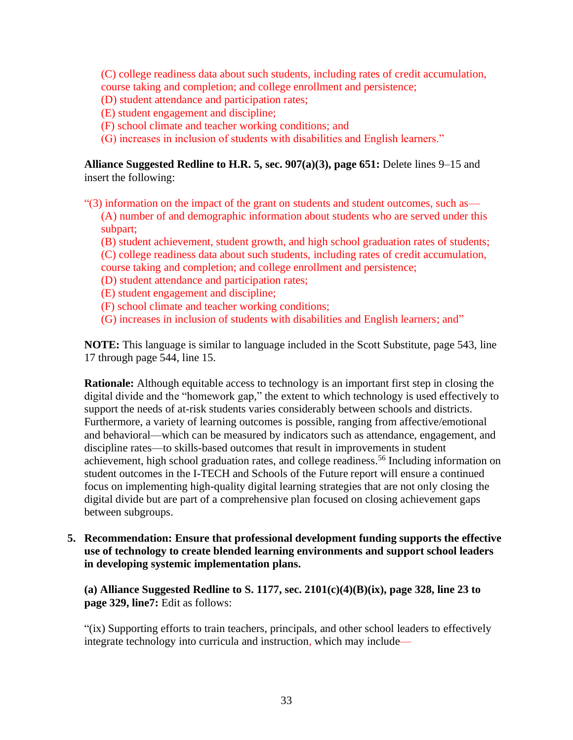(C) college readiness data about such students, including rates of credit accumulation, course taking and completion; and college enrollment and persistence;

- (D) student attendance and participation rates;
- (E) student engagement and discipline;
- (F) school climate and teacher working conditions; and
- (G) increases in inclusion of students with disabilities and English learners."

**Alliance Suggested Redline to H.R. 5, sec. 907(a)(3), page 651:** Delete lines 9–15 and insert the following:

- "(3) information on the impact of the grant on students and student outcomes, such as— (A) number of and demographic information about students who are served under this subpart;
	- (B) student achievement, student growth, and high school graduation rates of students; (C) college readiness data about such students, including rates of credit accumulation, course taking and completion; and college enrollment and persistence;
	- (D) student attendance and participation rates;
	- (E) student engagement and discipline;
	- (F) school climate and teacher working conditions;
	- (G) increases in inclusion of students with disabilities and English learners; and"

**NOTE:** This language is similar to language included in the Scott Substitute, page 543, line 17 through page 544, line 15.

**Rationale:** Although equitable access to technology is an important first step in closing the digital divide and the "homework gap," the extent to which technology is used effectively to support the needs of at-risk students varies considerably between schools and districts. Furthermore, a variety of learning outcomes is possible, ranging from affective/emotional and behavioral—which can be measured by indicators such as attendance, engagement, and discipline rates—to skills-based outcomes that result in improvements in student achievement, high school graduation rates, and college readiness.<sup>56</sup> Including information on student outcomes in the I-TECH and Schools of the Future report will ensure a continued focus on implementing high-quality digital learning strategies that are not only closing the digital divide but are part of a comprehensive plan focused on closing achievement gaps between subgroups.

**5. Recommendation: Ensure that professional development funding supports the effective use of technology to create blended learning environments and support school leaders in developing systemic implementation plans.**

**(a) Alliance Suggested Redline to S. 1177, sec. 2101(c)(4)(B)(ix), page 328, line 23 to page 329, line7:** Edit as follows:

"(ix) Supporting efforts to train teachers, principals, and other school leaders to effectively integrate technology into curricula and instruction, which may include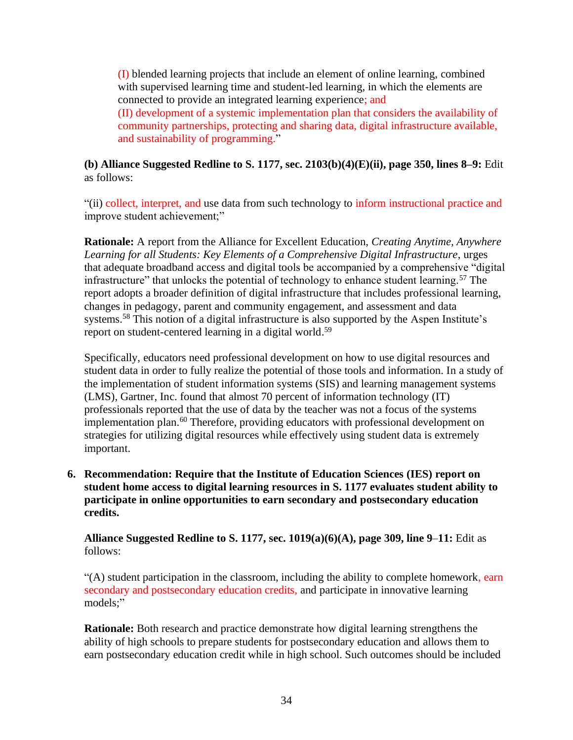(I) blended learning projects that include an element of online learning, combined with supervised learning time and student-led learning, in which the elements are connected to provide an integrated learning experience; and (II) development of a systemic implementation plan that considers the availability of community partnerships, protecting and sharing data, digital infrastructure available, and sustainability of programming."

### **(b) Alliance Suggested Redline to S. 1177, sec. 2103(b)(4)(E)(ii), page 350, lines 8–9:** Edit as follows:

"(ii) collect, interpret, and use data from such technology to inform instructional practice and improve student achievement;"

**Rationale:** A report from the Alliance for Excellent Education, *Creating Anytime, Anywhere Learning for all Students: Key Elements of a Comprehensive Digital Infrastructure*, urges that adequate broadband access and digital tools be accompanied by a comprehensive "digital infrastructure" that unlocks the potential of technology to enhance student learning.<sup>57</sup> The report adopts a broader definition of digital infrastructure that includes professional learning, changes in pedagogy, parent and community engagement, and assessment and data systems.<sup>58</sup> This notion of a digital infrastructure is also supported by the Aspen Institute's report on student-centered learning in a digital world.<sup>59</sup>

Specifically, educators need professional development on how to use digital resources and student data in order to fully realize the potential of those tools and information. In a study of the implementation of student information systems (SIS) and learning management systems (LMS), Gartner, Inc. found that almost 70 percent of information technology (IT) professionals reported that the use of data by the teacher was not a focus of the systems implementation plan.<sup>60</sup> Therefore, providing educators with professional development on strategies for utilizing digital resources while effectively using student data is extremely important.

**6. Recommendation: Require that the Institute of Education Sciences (IES) report on student home access to digital learning resources in S. 1177 evaluates student ability to participate in online opportunities to earn secondary and postsecondary education credits.**

**Alliance Suggested Redline to S. 1177, sec. 1019(a)(6)(A), page 309, line 9**–**11:** Edit as follows:

"(A) student participation in the classroom, including the ability to complete homework, earn secondary and postsecondary education credits, and participate in innovative learning models;"

**Rationale:** Both research and practice demonstrate how digital learning strengthens the ability of high schools to prepare students for postsecondary education and allows them to earn postsecondary education credit while in high school. Such outcomes should be included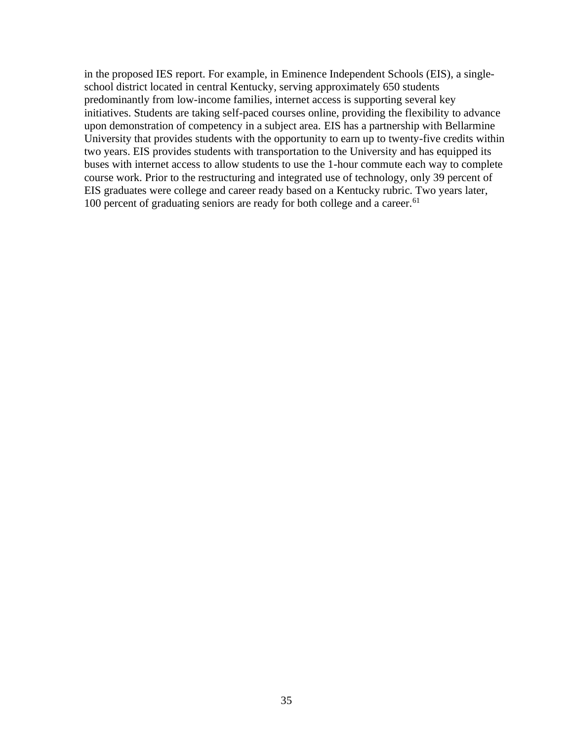in the proposed IES report. For example, in Eminence Independent Schools (EIS), a singleschool district located in central Kentucky, serving approximately 650 students predominantly from low-income families, internet access is supporting several key initiatives. Students are taking self-paced courses online, providing the flexibility to advance upon demonstration of competency in a subject area. EIS has a partnership with Bellarmine University that provides students with the opportunity to earn up to twenty-five credits within two years. EIS provides students with transportation to the University and has equipped its buses with internet access to allow students to use the 1-hour commute each way to complete course work. Prior to the restructuring and integrated use of technology, only 39 percent of EIS graduates were college and career ready based on a Kentucky rubric. Two years later, 100 percent of graduating seniors are ready for both college and a career.<sup>61</sup>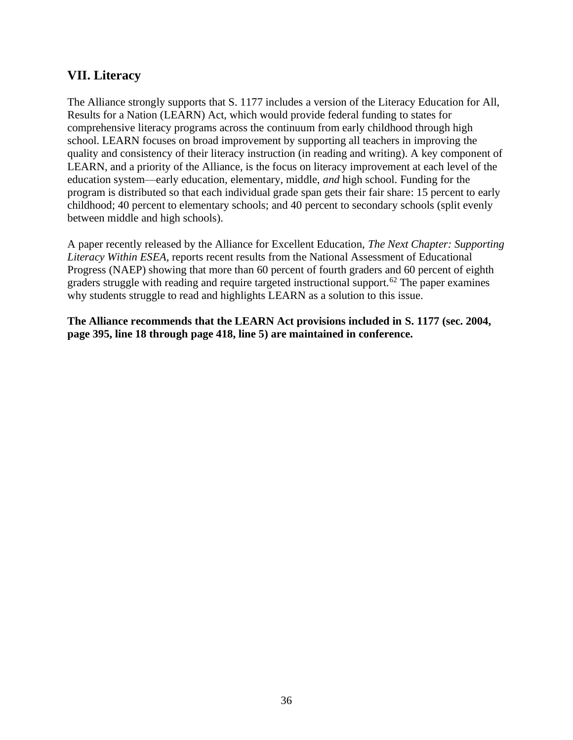## **VII. Literacy**

The Alliance strongly supports that S. 1177 includes a version of the Literacy Education for All, Results for a Nation (LEARN) Act, which would provide federal funding to states for comprehensive literacy programs across the continuum from early childhood through high school. LEARN focuses on broad improvement by supporting all teachers in improving the quality and consistency of their literacy instruction (in reading and writing). A key component of LEARN, and a priority of the Alliance, is the focus on literacy improvement at each level of the education system—early education, elementary, middle, *and* high school. Funding for the program is distributed so that each individual grade span gets their fair share: 15 percent to early childhood; 40 percent to elementary schools; and 40 percent to secondary schools (split evenly between middle and high schools).

A paper recently released by the Alliance for Excellent Education, *The Next Chapter: Supporting Literacy Within ESEA*, reports recent results from the National Assessment of Educational Progress (NAEP) showing that more than 60 percent of fourth graders and 60 percent of eighth graders struggle with reading and require targeted instructional support.<sup>62</sup> The paper examines why students struggle to read and highlights LEARN as a solution to this issue.

**The Alliance recommends that the LEARN Act provisions included in S. 1177 (sec. 2004, page 395, line 18 through page 418, line 5) are maintained in conference.**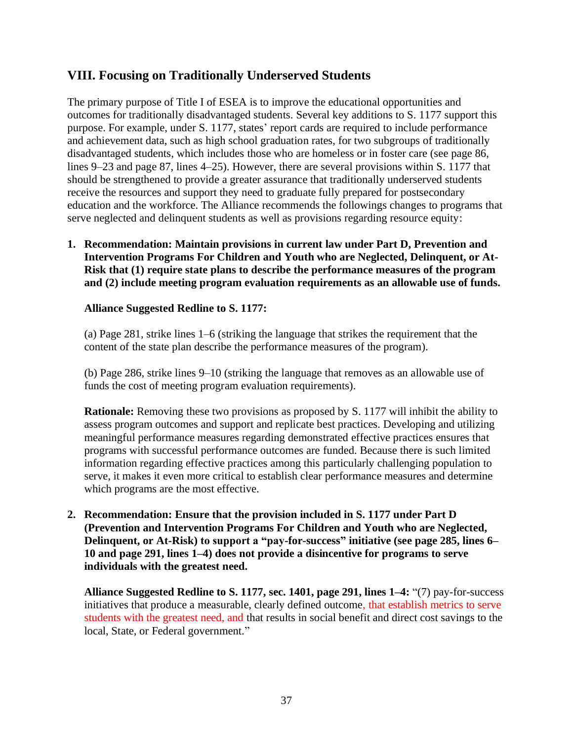## **VIII. Focusing on Traditionally Underserved Students**

The primary purpose of Title I of ESEA is to improve the educational opportunities and outcomes for traditionally disadvantaged students. Several key additions to S. 1177 support this purpose. For example, under S. 1177, states' report cards are required to include performance and achievement data, such as high school graduation rates, for two subgroups of traditionally disadvantaged students, which includes those who are homeless or in foster care (see page 86, lines 9–23 and page 87, lines 4–25). However, there are several provisions within S. 1177 that should be strengthened to provide a greater assurance that traditionally underserved students receive the resources and support they need to graduate fully prepared for postsecondary education and the workforce. The Alliance recommends the followings changes to programs that serve neglected and delinquent students as well as provisions regarding resource equity:

**1. Recommendation: Maintain provisions in current law under Part D, Prevention and Intervention Programs For Children and Youth who are Neglected, Delinquent, or At-Risk that (1) require state plans to describe the performance measures of the program and (2) include meeting program evaluation requirements as an allowable use of funds.**

#### **Alliance Suggested Redline to S. 1177:**

(a) Page 281, strike lines 1–6 (striking the language that strikes the requirement that the content of the state plan describe the performance measures of the program).

(b) Page 286, strike lines 9–10 (striking the language that removes as an allowable use of funds the cost of meeting program evaluation requirements).

**Rationale:** Removing these two provisions as proposed by S. 1177 will inhibit the ability to assess program outcomes and support and replicate best practices. Developing and utilizing meaningful performance measures regarding demonstrated effective practices ensures that programs with successful performance outcomes are funded. Because there is such limited information regarding effective practices among this particularly challenging population to serve, it makes it even more critical to establish clear performance measures and determine which programs are the most effective.

**2. Recommendation: Ensure that the provision included in S. 1177 under Part D (Prevention and Intervention Programs For Children and Youth who are Neglected, Delinquent, or At-Risk) to support a "pay-for-success" initiative (see page 285, lines 6– 10 and page 291, lines 1–4) does not provide a disincentive for programs to serve individuals with the greatest need.** 

**Alliance Suggested Redline to S. 1177, sec. 1401, page 291, lines 1–4:** "(7) pay-for-success initiatives that produce a measurable, clearly defined outcome, that establish metrics to serve students with the greatest need, and that results in social benefit and direct cost savings to the local, State, or Federal government."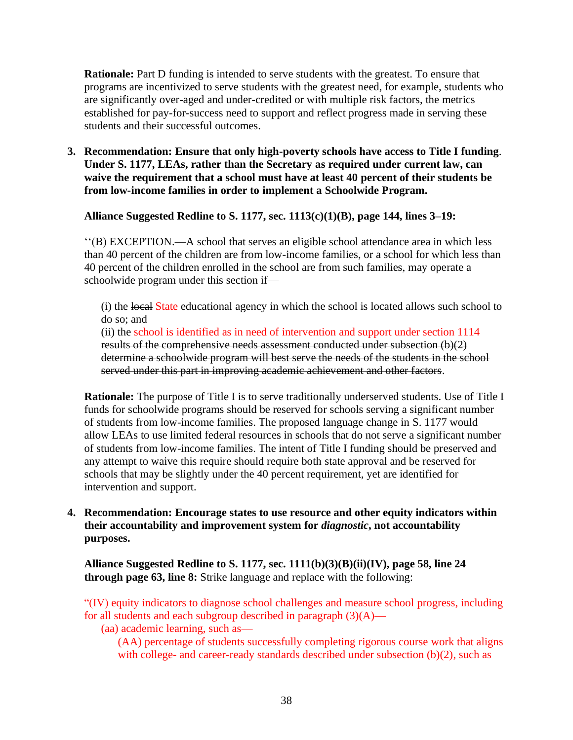**Rationale:** Part D funding is intended to serve students with the greatest. To ensure that programs are incentivized to serve students with the greatest need, for example, students who are significantly over-aged and under-credited or with multiple risk factors, the metrics established for pay-for-success need to support and reflect progress made in serving these students and their successful outcomes.

**3. Recommendation: Ensure that only high-poverty schools have access to Title I funding**. **Under S. 1177, LEAs, rather than the Secretary as required under current law, can waive the requirement that a school must have at least 40 percent of their students be from low-income families in order to implement a Schoolwide Program.**

**Alliance Suggested Redline to S. 1177, sec. 1113(c)(1)(B), page 144, lines 3–19:**

''(B) EXCEPTION.—A school that serves an eligible school attendance area in which less than 40 percent of the children are from low-income families, or a school for which less than 40 percent of the children enrolled in the school are from such families, may operate a schoolwide program under this section if—

(i) the local State educational agency in which the school is located allows such school to do so; and

(ii) the school is identified as in need of intervention and support under section 1114 results of the comprehensive needs assessment conducted under subsection (b)(2) determine a schoolwide program will best serve the needs of the students in the school served under this part in improving academic achievement and other factors.

**Rationale:** The purpose of Title I is to serve traditionally underserved students. Use of Title I funds for schoolwide programs should be reserved for schools serving a significant number of students from low-income families. The proposed language change in S. 1177 would allow LEAs to use limited federal resources in schools that do not serve a significant number of students from low-income families. The intent of Title I funding should be preserved and any attempt to waive this require should require both state approval and be reserved for schools that may be slightly under the 40 percent requirement, yet are identified for intervention and support.

**4. Recommendation: Encourage states to use resource and other equity indicators within their accountability and improvement system for** *diagnostic***, not accountability purposes.**

**Alliance Suggested Redline to S. 1177, sec. 1111(b)(3)(B)(ii)(IV), page 58, line 24 through page 63, line 8:** Strike language and replace with the following:

"(IV) equity indicators to diagnose school challenges and measure school progress, including for all students and each subgroup described in paragraph  $(3)(A)$ —

(aa) academic learning, such as—

(AA) percentage of students successfully completing rigorous course work that aligns with college- and career-ready standards described under subsection (b)(2), such as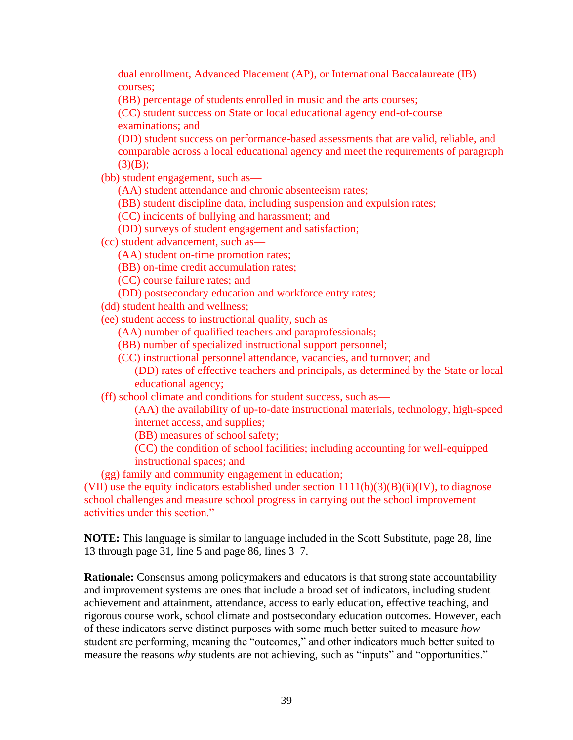dual enrollment, Advanced Placement (AP), or International Baccalaureate (IB) courses;

(BB) percentage of students enrolled in music and the arts courses;

(CC) student success on State or local educational agency end-of-course examinations; and

(DD) student success on performance-based assessments that are valid, reliable, and comparable across a local educational agency and meet the requirements of paragraph  $(3)(B);$ 

(bb) student engagement, such as—

(AA) student attendance and chronic absenteeism rates;

(BB) student discipline data, including suspension and expulsion rates;

(CC) incidents of bullying and harassment; and

(DD) surveys of student engagement and satisfaction;

(cc) student advancement, such as—

(AA) student on-time promotion rates;

(BB) on-time credit accumulation rates;

(CC) course failure rates; and

(DD) postsecondary education and workforce entry rates;

(dd) student health and wellness;

(ee) student access to instructional quality, such as—

(AA) number of qualified teachers and paraprofessionals;

(BB) number of specialized instructional support personnel;

(CC) instructional personnel attendance, vacancies, and turnover; and

(DD) rates of effective teachers and principals, as determined by the State or local educational agency;

(ff) school climate and conditions for student success, such as—

(AA) the availability of up-to-date instructional materials, technology, high-speed internet access, and supplies;

(BB) measures of school safety;

(CC) the condition of school facilities; including accounting for well-equipped instructional spaces; and

(gg) family and community engagement in education;

(VII) use the equity indicators established under section  $1111(b)(3)(B)(ii)(IV)$ , to diagnose school challenges and measure school progress in carrying out the school improvement activities under this section."

**NOTE:** This language is similar to language included in the Scott Substitute, page 28, line 13 through page 31, line 5 and page 86, lines 3–7.

**Rationale:** Consensus among policymakers and educators is that strong state accountability and improvement systems are ones that include a broad set of indicators, including student achievement and attainment, attendance, access to early education, effective teaching, and rigorous course work, school climate and postsecondary education outcomes. However, each of these indicators serve distinct purposes with some much better suited to measure *how* student are performing, meaning the "outcomes," and other indicators much better suited to measure the reasons *why* students are not achieving, such as "inputs" and "opportunities."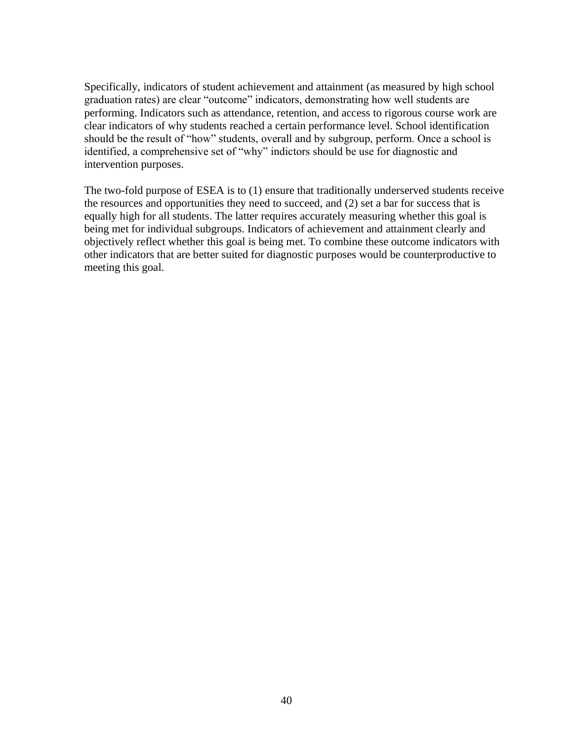Specifically, indicators of student achievement and attainment (as measured by high school graduation rates) are clear "outcome" indicators, demonstrating how well students are performing. Indicators such as attendance, retention, and access to rigorous course work are clear indicators of why students reached a certain performance level. School identification should be the result of "how" students, overall and by subgroup, perform. Once a school is identified, a comprehensive set of "why" indictors should be use for diagnostic and intervention purposes.

The two-fold purpose of ESEA is to (1) ensure that traditionally underserved students receive the resources and opportunities they need to succeed, and (2) set a bar for success that is equally high for all students. The latter requires accurately measuring whether this goal is being met for individual subgroups. Indicators of achievement and attainment clearly and objectively reflect whether this goal is being met. To combine these outcome indicators with other indicators that are better suited for diagnostic purposes would be counterproductive to meeting this goal.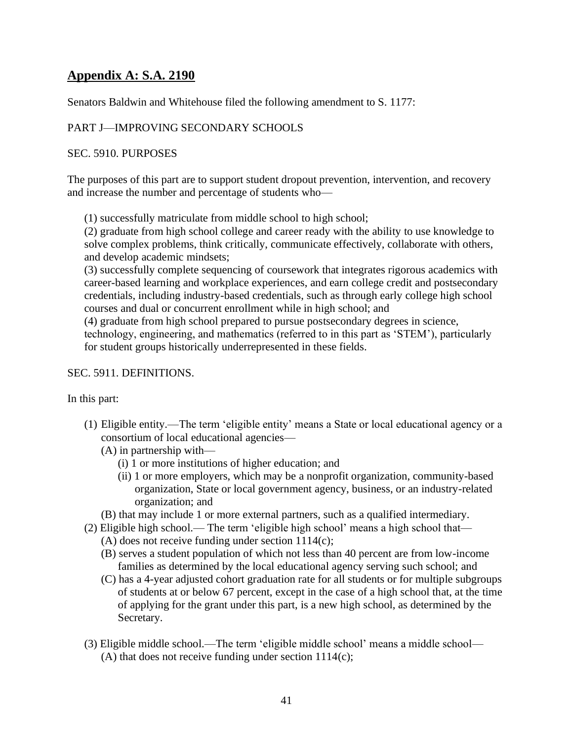## **Appendix A: S.A. 2190**

Senators Baldwin and Whitehouse filed the following amendment to S. 1177:

### PART J—IMPROVING SECONDARY SCHOOLS

#### SEC. 5910. PURPOSES

The purposes of this part are to support student dropout prevention, intervention, and recovery and increase the number and percentage of students who—

(1) successfully matriculate from middle school to high school;

(2) graduate from high school college and career ready with the ability to use knowledge to solve complex problems, think critically, communicate effectively, collaborate with others, and develop academic mindsets;

(3) successfully complete sequencing of coursework that integrates rigorous academics with career-based learning and workplace experiences, and earn college credit and postsecondary credentials, including industry-based credentials, such as through early college high school courses and dual or concurrent enrollment while in high school; and

(4) graduate from high school prepared to pursue postsecondary degrees in science, technology, engineering, and mathematics (referred to in this part as 'STEM'), particularly for student groups historically underrepresented in these fields.

#### SEC. 5911. DEFINITIONS.

In this part:

- (1) Eligible entity.—The term 'eligible entity' means a State or local educational agency or a consortium of local educational agencies—
	- (A) in partnership with—
		- (i) 1 or more institutions of higher education; and
		- (ii) 1 or more employers, which may be a nonprofit organization, community-based organization, State or local government agency, business, or an industry-related organization; and
	- (B) that may include 1 or more external partners, such as a qualified intermediary.
- (2) Eligible high school.— The term 'eligible high school' means a high school that—
	- (A) does not receive funding under section 1114(c);
	- (B) serves a student population of which not less than 40 percent are from low-income families as determined by the local educational agency serving such school; and
	- (C) has a 4-year adjusted cohort graduation rate for all students or for multiple subgroups of students at or below 67 percent, except in the case of a high school that, at the time of applying for the grant under this part, is a new high school, as determined by the Secretary.
- (3) Eligible middle school.—The term 'eligible middle school' means a middle school— (A) that does not receive funding under section 1114(c);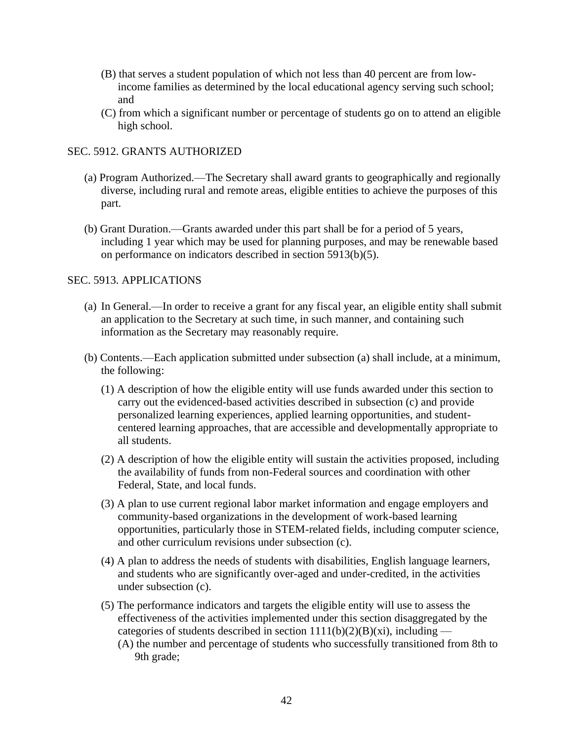- (B) that serves a student population of which not less than 40 percent are from lowincome families as determined by the local educational agency serving such school; and
- (C) from which a significant number or percentage of students go on to attend an eligible high school.

#### SEC. 5912. GRANTS AUTHORIZED

- (a) Program Authorized.—The Secretary shall award grants to geographically and regionally diverse, including rural and remote areas, eligible entities to achieve the purposes of this part.
- (b) Grant Duration.—Grants awarded under this part shall be for a period of 5 years, including 1 year which may be used for planning purposes, and may be renewable based on performance on indicators described in section 5913(b)(5).

#### SEC. 5913. APPLICATIONS

- (a) In General.—In order to receive a grant for any fiscal year, an eligible entity shall submit an application to the Secretary at such time, in such manner, and containing such information as the Secretary may reasonably require.
- (b) Contents.—Each application submitted under subsection (a) shall include, at a minimum, the following:
	- (1) A description of how the eligible entity will use funds awarded under this section to carry out the evidenced-based activities described in subsection (c) and provide personalized learning experiences, applied learning opportunities, and studentcentered learning approaches, that are accessible and developmentally appropriate to all students.
	- (2) A description of how the eligible entity will sustain the activities proposed, including the availability of funds from non-Federal sources and coordination with other Federal, State, and local funds.
	- (3) A plan to use current regional labor market information and engage employers and community-based organizations in the development of work-based learning opportunities, particularly those in STEM-related fields, including computer science, and other curriculum revisions under subsection (c).
	- (4) A plan to address the needs of students with disabilities, English language learners, and students who are significantly over-aged and under-credited, in the activities under subsection (c).
	- (5) The performance indicators and targets the eligible entity will use to assess the effectiveness of the activities implemented under this section disaggregated by the categories of students described in section  $1111(b)(2)(B)(xi)$ , including — (A) the number and percentage of students who successfully transitioned from 8th to 9th grade;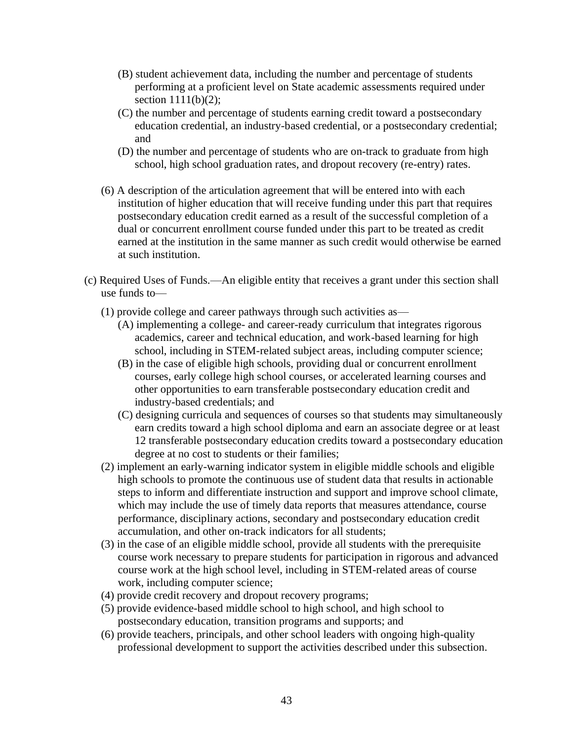- (B) student achievement data, including the number and percentage of students performing at a proficient level on State academic assessments required under section 1111(b)(2);
- (C) the number and percentage of students earning credit toward a postsecondary education credential, an industry-based credential, or a postsecondary credential; and
- (D) the number and percentage of students who are on-track to graduate from high school, high school graduation rates, and dropout recovery (re-entry) rates.
- (6) A description of the articulation agreement that will be entered into with each institution of higher education that will receive funding under this part that requires postsecondary education credit earned as a result of the successful completion of a dual or concurrent enrollment course funded under this part to be treated as credit earned at the institution in the same manner as such credit would otherwise be earned at such institution.
- (c) Required Uses of Funds.—An eligible entity that receives a grant under this section shall use funds to—
	- (1) provide college and career pathways through such activities as—
		- (A) implementing a college- and career-ready curriculum that integrates rigorous academics, career and technical education, and work-based learning for high school, including in STEM-related subject areas, including computer science;
		- (B) in the case of eligible high schools, providing dual or concurrent enrollment courses, early college high school courses, or accelerated learning courses and other opportunities to earn transferable postsecondary education credit and industry-based credentials; and
		- (C) designing curricula and sequences of courses so that students may simultaneously earn credits toward a high school diploma and earn an associate degree or at least 12 transferable postsecondary education credits toward a postsecondary education degree at no cost to students or their families;
	- (2) implement an early-warning indicator system in eligible middle schools and eligible high schools to promote the continuous use of student data that results in actionable steps to inform and differentiate instruction and support and improve school climate, which may include the use of timely data reports that measures attendance, course performance, disciplinary actions, secondary and postsecondary education credit accumulation, and other on-track indicators for all students;
	- (3) in the case of an eligible middle school, provide all students with the prerequisite course work necessary to prepare students for participation in rigorous and advanced course work at the high school level, including in STEM-related areas of course work, including computer science;
	- (4) provide credit recovery and dropout recovery programs;
	- (5) provide evidence-based middle school to high school, and high school to postsecondary education, transition programs and supports; and
	- (6) provide teachers, principals, and other school leaders with ongoing high-quality professional development to support the activities described under this subsection.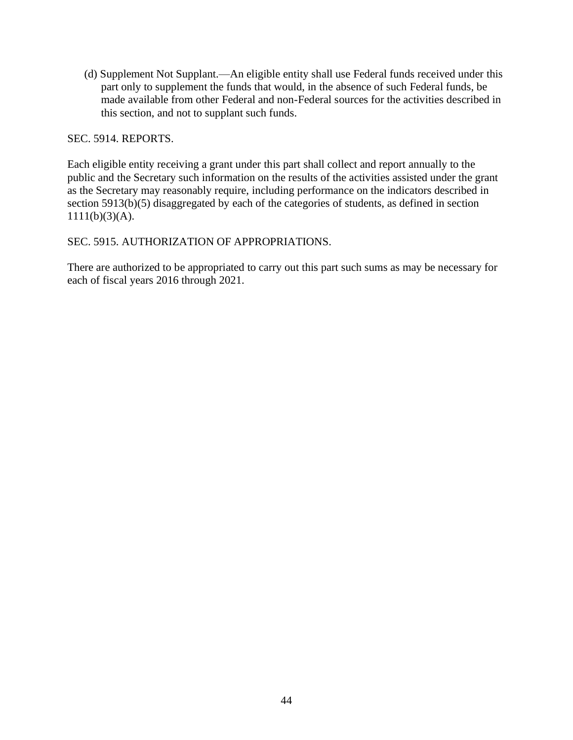(d) Supplement Not Supplant.—An eligible entity shall use Federal funds received under this part only to supplement the funds that would, in the absence of such Federal funds, be made available from other Federal and non-Federal sources for the activities described in this section, and not to supplant such funds.

SEC. 5914. REPORTS.

Each eligible entity receiving a grant under this part shall collect and report annually to the public and the Secretary such information on the results of the activities assisted under the grant as the Secretary may reasonably require, including performance on the indicators described in section 5913(b)(5) disaggregated by each of the categories of students, as defined in section  $1111(b)(3)(A).$ 

SEC. 5915. AUTHORIZATION OF APPROPRIATIONS.

There are authorized to be appropriated to carry out this part such sums as may be necessary for each of fiscal years 2016 through 2021.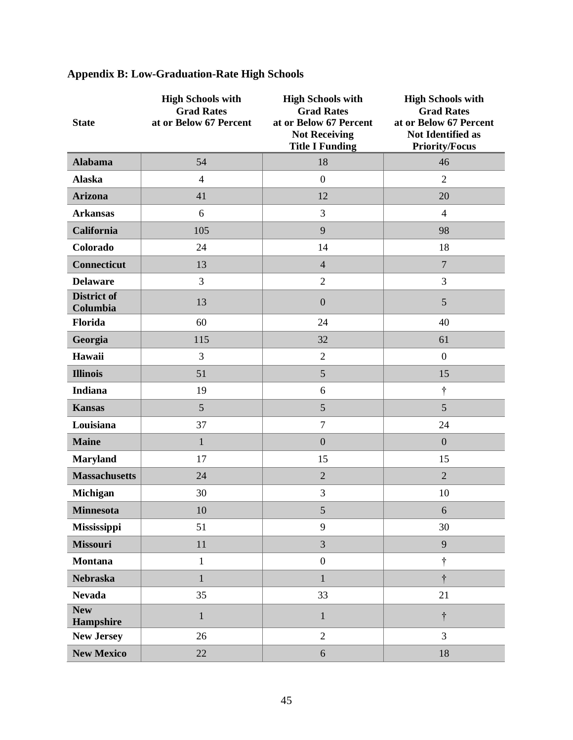| <b>State</b>                   | <b>High Schools with</b><br><b>Grad Rates</b><br>at or Below 67 Percent | <b>High Schools with</b><br><b>Grad Rates</b><br>at or Below 67 Percent<br><b>Not Receiving</b><br><b>Title I Funding</b> | <b>High Schools with</b><br><b>Grad Rates</b><br>at or Below 67 Percent<br>Not Identified as<br><b>Priority/Focus</b> |
|--------------------------------|-------------------------------------------------------------------------|---------------------------------------------------------------------------------------------------------------------------|-----------------------------------------------------------------------------------------------------------------------|
| <b>Alabama</b>                 | 54                                                                      | 18                                                                                                                        | 46                                                                                                                    |
| <b>Alaska</b>                  | $\overline{4}$                                                          | $\boldsymbol{0}$                                                                                                          | $\overline{2}$                                                                                                        |
| <b>Arizona</b>                 | 41                                                                      | 12                                                                                                                        | 20                                                                                                                    |
| <b>Arkansas</b>                | 6                                                                       | 3                                                                                                                         | $\overline{4}$                                                                                                        |
| California                     | 105                                                                     | 9                                                                                                                         | 98                                                                                                                    |
| Colorado                       | 24                                                                      | 14                                                                                                                        | 18                                                                                                                    |
| <b>Connecticut</b>             | 13                                                                      | $\overline{4}$                                                                                                            | $\overline{7}$                                                                                                        |
| <b>Delaware</b>                | 3                                                                       | $\overline{2}$                                                                                                            | 3                                                                                                                     |
| <b>District of</b><br>Columbia | 13                                                                      | $\boldsymbol{0}$                                                                                                          | 5                                                                                                                     |
| Florida                        | 60                                                                      | 24                                                                                                                        | 40                                                                                                                    |
| Georgia                        | 115                                                                     | 32                                                                                                                        | 61                                                                                                                    |
| Hawaii                         | 3                                                                       | $\mathfrak{2}$                                                                                                            | $\boldsymbol{0}$                                                                                                      |
| <b>Illinois</b>                | 51                                                                      | 5                                                                                                                         | 15                                                                                                                    |
| <b>Indiana</b>                 | 19                                                                      | 6                                                                                                                         | t                                                                                                                     |
| <b>Kansas</b>                  | 5                                                                       | 5                                                                                                                         | 5                                                                                                                     |
| Louisiana                      | 37                                                                      | $\overline{7}$                                                                                                            | 24                                                                                                                    |
| <b>Maine</b>                   | $\mathbf{1}$                                                            | $\mathbf{0}$                                                                                                              | $\overline{0}$                                                                                                        |
| <b>Maryland</b>                | 17                                                                      | 15                                                                                                                        | 15                                                                                                                    |
| <b>Massachusetts</b>           | 24                                                                      | $\overline{2}$                                                                                                            | $\overline{2}$                                                                                                        |
| <b>Michigan</b>                | 30                                                                      | 3                                                                                                                         | 10                                                                                                                    |
| <b>Minnesota</b>               | 10                                                                      | 5                                                                                                                         | 6                                                                                                                     |
| Mississippi                    | 51                                                                      | 9                                                                                                                         | 30                                                                                                                    |
| Missouri                       | 11                                                                      | $\overline{3}$                                                                                                            | 9                                                                                                                     |
| <b>Montana</b>                 | $\mathbf{1}$                                                            | $\boldsymbol{0}$                                                                                                          | $\dagger$                                                                                                             |
| <b>Nebraska</b>                | $\mathbf{1}$                                                            | $\mathbf{1}$                                                                                                              | $\dagger$                                                                                                             |
| <b>Nevada</b>                  | 35                                                                      | 33                                                                                                                        | 21                                                                                                                    |
| <b>New</b><br>Hampshire        | $\mathbf{1}$                                                            | $\mathbf{1}$                                                                                                              | $\dagger$                                                                                                             |
| <b>New Jersey</b>              | 26                                                                      | $\overline{2}$                                                                                                            | 3                                                                                                                     |
| <b>New Mexico</b>              | 22                                                                      | $\sqrt{6}$                                                                                                                | 18                                                                                                                    |

# **Appendix B: Low-Graduation-Rate High Schools**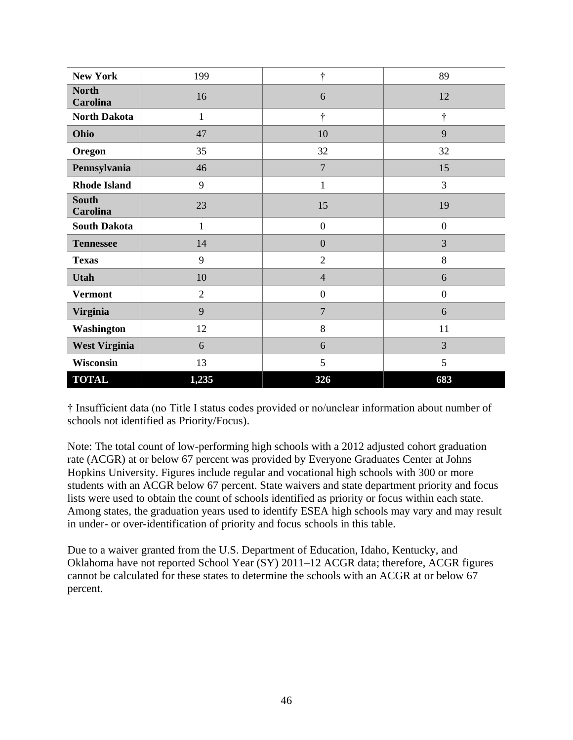| <b>New York</b>          | 199            | ÷                | 89               |
|--------------------------|----------------|------------------|------------------|
| <b>North</b><br>Carolina | 16             | 6                | 12               |
| <b>North Dakota</b>      | $\mathbf{1}$   | ÷                | $\dagger$        |
| Ohio                     | 47             | 10               | 9                |
| Oregon                   | 35             | 32               | 32               |
| Pennsylvania             | 46             | $\overline{7}$   | 15               |
| <b>Rhode Island</b>      | 9              | $\mathbf{1}$     | 3                |
| <b>South</b><br>Carolina | 23             | 15               | 19               |
| <b>South Dakota</b>      | 1              | $\boldsymbol{0}$ | $\overline{0}$   |
| <b>Tennessee</b>         | 14             | $\overline{0}$   | 3                |
| <b>Texas</b>             | 9              | $\overline{2}$   | 8                |
| <b>Utah</b>              | 10             | $\overline{4}$   | 6                |
| <b>Vermont</b>           | $\overline{2}$ | $\boldsymbol{0}$ | $\boldsymbol{0}$ |
| <b>Virginia</b>          | 9              | $\overline{7}$   | 6                |
| Washington               | 12             | 8                | 11               |
| <b>West Virginia</b>     | 6              | 6                | 3                |
| Wisconsin                | 13             | 5                | 5                |
| <b>TOTAL</b>             | 1,235          | 326              | 683              |

† Insufficient data (no Title I status codes provided or no/unclear information about number of schools not identified as Priority/Focus).

Note: The total count of low-performing high schools with a 2012 adjusted cohort graduation rate (ACGR) at or below 67 percent was provided by Everyone Graduates Center at Johns Hopkins University. Figures include regular and vocational high schools with 300 or more students with an ACGR below 67 percent. State waivers and state department priority and focus lists were used to obtain the count of schools identified as priority or focus within each state. Among states, the graduation years used to identify ESEA high schools may vary and may result in under- or over-identification of priority and focus schools in this table.

Due to a waiver granted from the U.S. Department of Education, Idaho, Kentucky, and Oklahoma have not reported School Year (SY) 2011–12 ACGR data; therefore, ACGR figures cannot be calculated for these states to determine the schools with an ACGR at or below 67 percent.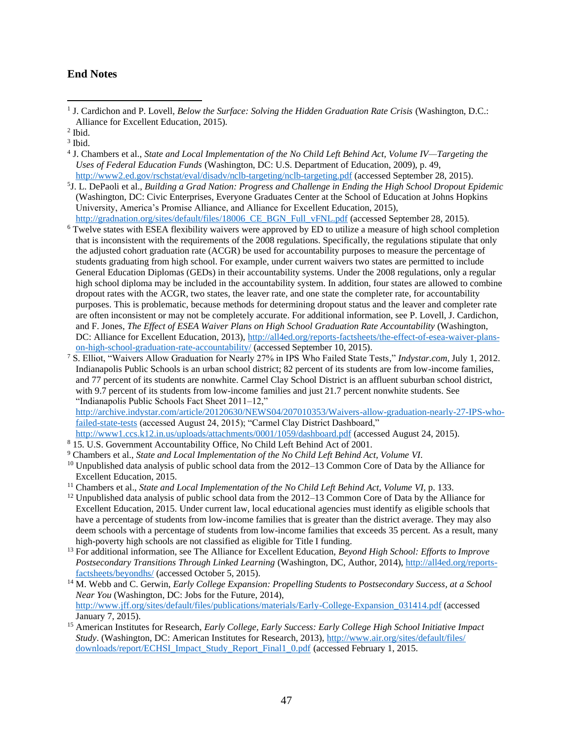#### **End Notes**

- 4 J. Chambers et al., *State and Local Implementation of the No Child Left Behind Act, Volume IV—Targeting the Uses of Federal Education Funds* (Washington, DC: U.S. Department of Education, 2009), p. 49, <http://www2.ed.gov/rschstat/eval/disadv/nclb-targeting/nclb-targeting.pdf> (accessed September 28, 2015).
- 5 J. L. DePaoli et al., *Building a Grad Nation: Progress and Challenge in Ending the High School Dropout Epidemic*  (Washington, DC: Civic Enterprises, Everyone Graduates Center at the School of Education at Johns Hopkins University, America's Promise Alliance, and Alliance for Excellent Education, 2015), http://gradnation.org/sites/default/files/18006 CE\_BGN\_Full\_vFNL.pdf (accessed September 28, 2015).
- <sup>6</sup> Twelve states with ESEA flexibility waivers were approved by ED to utilize a measure of high school completion that is inconsistent with the requirements of the 2008 regulations. Specifically, the regulations stipulate that only the adjusted cohort graduation rate (ACGR) be used for accountability purposes to measure the percentage of students graduating from high school. For example, under current waivers two states are permitted to include General Education Diplomas (GEDs) in their accountability systems. Under the 2008 regulations, only a regular high school diploma may be included in the accountability system. In addition, four states are allowed to combine dropout rates with the ACGR, two states, the leaver rate, and one state the completer rate, for accountability purposes. This is problematic, because methods for determining dropout status and the leaver and completer rate are often inconsistent or may not be completely accurate. For additional information, see P. Lovell, J. Cardichon, and F. Jones, *The Effect of ESEA Waiver Plans on High School Graduation Rate Accountability* (Washington, DC: Alliance for Excellent Education, 2013), [http://all4ed.org/reports-factsheets/the-effect-of-esea-waiver-plans](http://all4ed.org/reports-factsheets/the-effect-of-esea-waiver-plans-on-high-school-graduation-rate-accountability/)[on-high-school-graduation-rate-accountability/](http://all4ed.org/reports-factsheets/the-effect-of-esea-waiver-plans-on-high-school-graduation-rate-accountability/) (accessed September 10, 2015).
- <sup>7</sup> S. Elliot, "Waivers Allow Graduation for Nearly 27% in IPS Who Failed State Tests," *Indystar.com*, July 1, 2012. Indianapolis Public Schools is an urban school district; 82 percent of its students are from low-income families, and 77 percent of its students are nonwhite. Carmel Clay School District is an affluent suburban school district, with 9.7 percent of its students from low-income families and just 21.7 percent nonwhite students. See "Indianapolis Public Schools Fact Sheet 2011–12,"

[http://archive.indystar.com/article/20120630/NEWS04/207010353/Waivers-allow-graduation-nearly-27-IPS-who](http://archive.indystar.com/article/20120630/NEWS04/207010353/Waivers-allow-graduation-nearly-27-IPS-who-failed-state-tests)[failed-state-tests](http://archive.indystar.com/article/20120630/NEWS04/207010353/Waivers-allow-graduation-nearly-27-IPS-who-failed-state-tests) (accessed August 24, 2015); "Carmel Clay District Dashboard,"

- <http://www1.ccs.k12.in.us/uploads/attachments/0001/1059/dashboard.pdf> (accessed August 24, 2015).
- <sup>8</sup> 15. U.S. Government Accountability Office, No Child Left Behind Act of 2001.
- <sup>9</sup> Chambers et al., *State and Local Implementation of the No Child Left Behind Act, Volume VI*.
- <sup>10</sup> Unpublished data analysis of public school data from the 2012–13 Common Core of Data by the Alliance for Excellent Education, 2015.
- <sup>11</sup> Chambers et al., *State and Local Implementation of the No Child Left Behind Act, Volume VI*, p. 133.
- $12$  Unpublished data analysis of public school data from the 2012–13 Common Core of Data by the Alliance for Excellent Education, 2015. Under current law, local educational agencies must identify as eligible schools that have a percentage of students from low-income families that is greater than the district average. They may also deem schools with a percentage of students from low-income families that exceeds 35 percent. As a result, many high-poverty high schools are not classified as eligible for Title I funding.
- <sup>13</sup> For additional information, see The Alliance for Excellent Education, *Beyond High School: Efforts to Improve Postsecondary Transitions Through Linked Learning* (Washington, DC, Author, 2014)[, http://all4ed.org/reports](http://all4ed.org/reports-factsheets/beyondhs/)[factsheets/beyondhs/](http://all4ed.org/reports-factsheets/beyondhs/) (accessed October 5, 2015).
- <sup>14</sup> M. Webb and C. Gerwin, *Early College Expansion: Propelling Students to Postsecondary Success, at a School Near You* (Washington, DC: Jobs for the Future, 2014), [http://www.jff.org/sites/default/files/publications/materials/Early-College-Expansion\\_031414.pdf](http://www.jff.org/sites/default/files/publications/materials/Early-College-Expansion_031414.pdf) (accessed January 7, 2015).
- <sup>15</sup> American Institutes for Research, *Early College, Early Success: Early College High School Initiative Impact Study*. (Washington, DC: American Institutes for Research, 2013), [http://www.air.org/sites/default/files/](http://www.air.org/sites/default/files/downloads/report/ECHSI_Impact_Study_Report_Final1_0.pdf) [downloads/report/ECHSI\\_Impact\\_Study\\_Report\\_Final1\\_0.pdf](http://www.air.org/sites/default/files/downloads/report/ECHSI_Impact_Study_Report_Final1_0.pdf) (accessed February 1, 2015.

<sup>&</sup>lt;sup>1</sup> J. Cardichon and P. Lovell, *Below the Surface: Solving the Hidden Graduation Rate Crisis* (Washington, D.C.: Alliance for Excellent Education, 2015).

<sup>2</sup> Ibid.

<sup>3</sup> Ibid.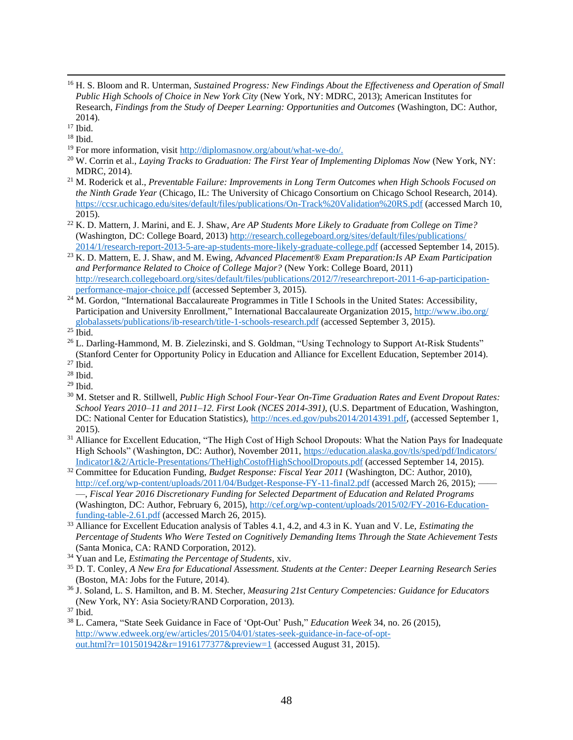<sup>16</sup> H. S. Bloom and R. Unterman, *Sustained Progress: New Findings About the Effectiveness and Operation of Small Public High Schools of Choice in New York City* (New York, NY: MDRC, 2013); American Institutes for Research, *Findings from the Study of Deeper Learning: Opportunities and Outcomes* (Washington, DC: Author, 2014).

- <sup>19</sup> For more information, visit [http://diplomasnow.org/about/what-we-do/.](http://diplomasnow.org/about/what-we-do/)
- <sup>20</sup> W. Corrin et al., *Laying Tracks to Graduation: The First Year of Implementing Diplomas Now (New York, NY:* MDRC, 2014).
- <sup>21</sup> M. Roderick et al., *Preventable Failure: Improvements in Long Term Outcomes when High Schools Focused on the Ninth Grade Year* (Chicago, IL: The University of Chicago Consortium on Chicago School Research, 2014). <https://ccsr.uchicago.edu/sites/default/files/publications/On-Track%20Validation%20RS.pdf> (accessed March 10, 2015).
- <sup>22</sup> K. D. Mattern, J. Marini, and E. J. Shaw, *Are AP Students More Likely to Graduate from College on Time?* (Washington, DC: College Board, 2013) [http://research.collegeboard.org/sites/default/files/publications/](http://research.collegeboard.org/sites/default/files/publications/2014/1/research-report-2013-5-are-ap-students-more-likely-graduate-college.pdf) [2014/1/research-report-2013-5-are-ap-students-more-likely-graduate-college.pdf](http://research.collegeboard.org/sites/default/files/publications/2014/1/research-report-2013-5-are-ap-students-more-likely-graduate-college.pdf) (accessed September 14, 2015).
- <sup>23</sup> K. D. Mattern, E. J. Shaw, and M. Ewing, *Advanced Placement® Exam Preparation:Is AP Exam Participation and Performance Related to Choice of College Major?* (New York: College Board, 2011) [http://research.collegeboard.org/sites/default/files/publications/2012/7/researchreport-2011-6-ap-participation](http://research.collegeboard.org/sites/default/files/publications/2012/7/researchreport-2011-6-ap-participation-performance-major-choice.pdf)[performance-major-choice.pdf](http://research.collegeboard.org/sites/default/files/publications/2012/7/researchreport-2011-6-ap-participation-performance-major-choice.pdf) (accessed September 3, 2015).
- <sup>24</sup> M. Gordon, "International Baccalaureate Programmes in Title I Schools in the United States: Accessibility, Participation and University Enrollment," International Baccalaureate Organization 2015, [http://www.ibo.org/](http://www.ibo.org/globalassets/publications/ib-research/title-1-schools-research.pdf) [globalassets/publications/ib-research/title-1-schools-research.pdf](http://www.ibo.org/globalassets/publications/ib-research/title-1-schools-research.pdf) (accessed September 3, 2015).

- <sup>26</sup> L. Darling-Hammond, M. B. Zielezinski, and S. Goldman, "Using Technology to Support At-Risk Students" (Stanford Center for Opportunity Policy in Education and Alliance for Excellent Education, September 2014).
- <sup>27</sup> Ibid.
- <sup>28</sup> Ibid.
- $29$  Ibid.
- <sup>30</sup> M. Stetser and R. Stillwell, *Public High School Four-Year On-Time Graduation Rates and Event Dropout Rates: School Years 2010–11 and 2011–12. First Look (NCES 2014-391),* (U.S. Department of Education, Washington, DC: National Center for Education Statistics), [http://nces.ed.gov/pubs2014/2014391.pdf,](http://nces.ed.gov/pubs2014/2014391.pdf) (accessed September 1, 2015).
- <sup>31</sup> Alliance for Excellent Education, "The High Cost of High School Dropouts: What the Nation Pays for Inadequate High Schools" (Washington, DC: Author), November 2011[, https://education.alaska.gov/tls/sped/pdf/Indicators/](https://education.alaska.gov/tls/sped/pdf/Indicators/Indicator1&2/Article-Presentations/TheHighCostofHighSchoolDropouts.pdf) [Indicator1&2/Article-Presentations/TheHighCostofHighSchoolDropouts.pdf](https://education.alaska.gov/tls/sped/pdf/Indicators/Indicator1&2/Article-Presentations/TheHighCostofHighSchoolDropouts.pdf) (accessed September 14, 2015).
- <sup>32</sup> Committee for Education Funding, *Budget Response: Fiscal Year 2011* (Washington, DC: Author, 2010), <http://cef.org/wp-content/uploads/2011/04/Budget-Response-FY-11-final2.pdf> (accessed March 26, 2015); —, *Fiscal Year 2016 Discretionary Funding for Selected Department of Education and Related Programs* (Washington, DC: Author, February 6, 2015), [http://cef.org/wp-content/uploads/2015/02/FY-2016-Education](http://cef.org/wp-content/uploads/2015/02/FY-2016-Education-funding-table-2.61.pdf)[funding-table-2.61.pdf](http://cef.org/wp-content/uploads/2015/02/FY-2016-Education-funding-table-2.61.pdf) (accessed March 26, 2015).
- <sup>33</sup> Alliance for Excellent Education analysis of Tables 4.1, 4.2, and 4.3 in K. Yuan and V. Le, *Estimating the Percentage of Students Who Were Tested on Cognitively Demanding Items Through the State Achievement Tests*  (Santa Monica, CA: RAND Corporation, 2012).
- <sup>34</sup> Yuan and Le, *Estimating the Percentage of Students*, xiv.
- <sup>35</sup> D. T. Conley, *A New Era for Educational Assessment. Students at the Center: Deeper Learning Research Series* (Boston, MA: Jobs for the Future, 2014).
- <sup>36</sup> J. Soland, L. S. Hamilton, and B. M. Stecher, *Measuring 21st Century Competencies: Guidance for Educators* (New York, NY: Asia Society/RAND Corporation, 2013).

<sup>38</sup> L. Camera, "State Seek Guidance in Face of 'Opt-Out' Push," *Education Week* 34, no. 26 (2015), [http://www.edweek.org/ew/articles/2015/04/01/states-seek-guidance-in-face-of-opt](http://www.edweek.org/ew/articles/2015/04/01/states-seek-guidance-in-face-of-opt-out.html?r=101501942&r=1916177377&preview=1)[out.html?r=101501942&r=1916177377&preview=1](http://www.edweek.org/ew/articles/2015/04/01/states-seek-guidance-in-face-of-opt-out.html?r=101501942&r=1916177377&preview=1) (accessed August 31, 2015).

<sup>&</sup>lt;sup>17</sup> Ibid.

<sup>18</sup> Ibid.

 $25$  Ibid.

<sup>37</sup> Ibid.